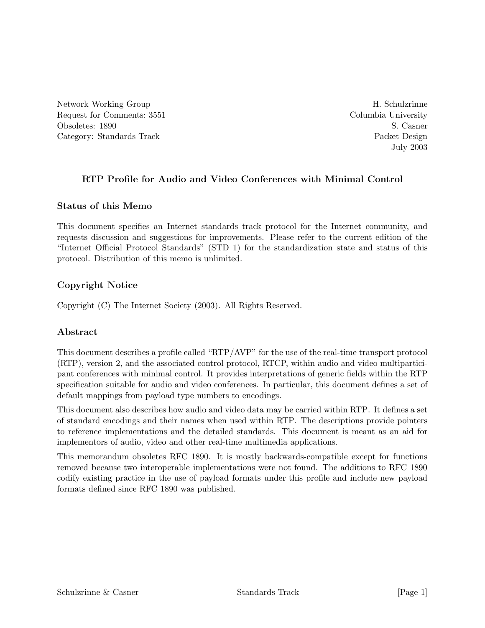Network Working Group H. Schulzrinne Request for Comments: 3551 Columbia University Obsoletes: 1890 S. Casner Category: Standards Track Packet Design

July 2003

# **RTP Profile for Audio and Video Conferences with Minimal Control**

## **Status of this Memo**

This document specifies an Internet standards track protocol for the Internet community, and requests discussion and suggestions for improvements. Please refer to the current edition of the "Internet Official Protocol Standards" (STD 1) for the standardization state and status of this protocol. Distribution of this memo is unlimited.

# **Copyright Notice**

Copyright (C) The Internet Society (2003). All Rights Reserved.

# **Abstract**

This document describes a profile called "RTP/AVP" for the use of the real-time transport protocol (RTP), version 2, and the associated control protocol, RTCP, within audio and video multiparticipant conferences with minimal control. It provides interpretations of generic fields within the RTP specification suitable for audio and video conferences. In particular, this document defines a set of default mappings from payload type numbers to encodings.

This document also describes how audio and video data may be carried within RTP. It defines a set of standard encodings and their names when used within RTP. The descriptions provide pointers to reference implementations and the detailed standards. This document is meant as an aid for implementors of audio, video and other real-time multimedia applications.

This memorandum obsoletes RFC 1890. It is mostly backwards-compatible except for functions removed because two interoperable implementations were not found. The additions to RFC 1890 codify existing practice in the use of payload formats under this profile and include new payload formats defined since RFC 1890 was published.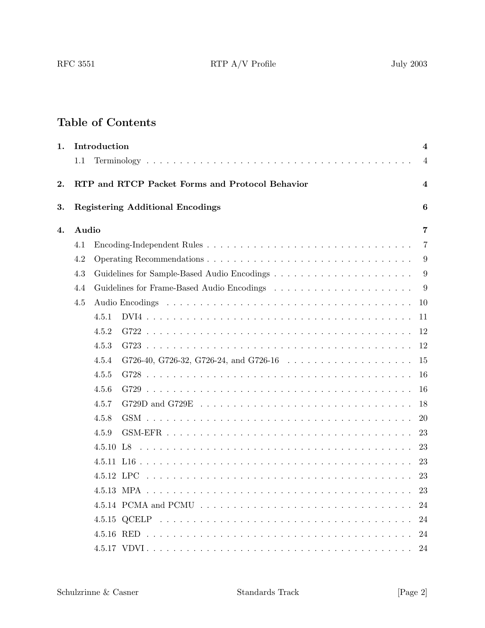# **Table of Contents**

| 1.    | Introduction |                                                                                             |  |  |                |  |  |  |  |  |  |  |  |  |  |  |
|-------|--------------|---------------------------------------------------------------------------------------------|--|--|----------------|--|--|--|--|--|--|--|--|--|--|--|
|       | 1.1          |                                                                                             |  |  | $\overline{4}$ |  |  |  |  |  |  |  |  |  |  |  |
| 2.    |              | RTP and RTCP Packet Forms and Protocol Behavior                                             |  |  | 4              |  |  |  |  |  |  |  |  |  |  |  |
| 3.    |              | <b>Registering Additional Encodings</b>                                                     |  |  | 6              |  |  |  |  |  |  |  |  |  |  |  |
| 4.    | Audio        |                                                                                             |  |  | 7              |  |  |  |  |  |  |  |  |  |  |  |
|       | 4.1          |                                                                                             |  |  | 7              |  |  |  |  |  |  |  |  |  |  |  |
|       | 4.2          |                                                                                             |  |  |                |  |  |  |  |  |  |  |  |  |  |  |
|       | 4.3          |                                                                                             |  |  | 9              |  |  |  |  |  |  |  |  |  |  |  |
|       | 4.4          |                                                                                             |  |  |                |  |  |  |  |  |  |  |  |  |  |  |
|       | 4.5          |                                                                                             |  |  |                |  |  |  |  |  |  |  |  |  |  |  |
|       |              | 4.5.1                                                                                       |  |  | 11             |  |  |  |  |  |  |  |  |  |  |  |
|       |              | 4.5.2                                                                                       |  |  | 12             |  |  |  |  |  |  |  |  |  |  |  |
| 4.5.3 |              |                                                                                             |  |  |                |  |  |  |  |  |  |  |  |  |  |  |
|       |              | 4.5.4<br>G726-40, G726-32, G726-24, and G726-16 $\ldots \ldots \ldots \ldots \ldots \ldots$ |  |  | 15             |  |  |  |  |  |  |  |  |  |  |  |
|       |              | 4.5.5                                                                                       |  |  | -16            |  |  |  |  |  |  |  |  |  |  |  |
|       |              | 4.5.6                                                                                       |  |  | 16             |  |  |  |  |  |  |  |  |  |  |  |
|       |              | 4.5.7                                                                                       |  |  | 18             |  |  |  |  |  |  |  |  |  |  |  |
|       |              | 4.5.8                                                                                       |  |  | <b>20</b>      |  |  |  |  |  |  |  |  |  |  |  |
|       |              | 4.5.9                                                                                       |  |  | 23             |  |  |  |  |  |  |  |  |  |  |  |
|       |              |                                                                                             |  |  | 23             |  |  |  |  |  |  |  |  |  |  |  |
|       |              |                                                                                             |  |  | 23             |  |  |  |  |  |  |  |  |  |  |  |
|       |              |                                                                                             |  |  | 23             |  |  |  |  |  |  |  |  |  |  |  |
|       |              |                                                                                             |  |  | 23             |  |  |  |  |  |  |  |  |  |  |  |
|       |              |                                                                                             |  |  | 24             |  |  |  |  |  |  |  |  |  |  |  |
|       |              |                                                                                             |  |  | 24             |  |  |  |  |  |  |  |  |  |  |  |
|       |              |                                                                                             |  |  | 24             |  |  |  |  |  |  |  |  |  |  |  |
|       |              |                                                                                             |  |  | 24             |  |  |  |  |  |  |  |  |  |  |  |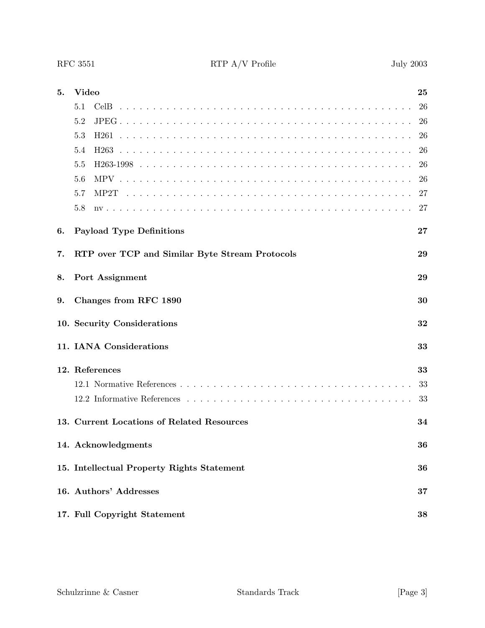| 5. | Video                                                | 25     |  |  |  |  |  |  |  |  |  |  |  |
|----|------------------------------------------------------|--------|--|--|--|--|--|--|--|--|--|--|--|
|    | 5.1<br>Cel <sub>B</sub>                              | 26     |  |  |  |  |  |  |  |  |  |  |  |
|    | 5.2                                                  | 26     |  |  |  |  |  |  |  |  |  |  |  |
|    | 5.3<br>H <sub>261</sub>                              | 26     |  |  |  |  |  |  |  |  |  |  |  |
|    | 5.4                                                  | 26     |  |  |  |  |  |  |  |  |  |  |  |
|    | 5.5                                                  | 26     |  |  |  |  |  |  |  |  |  |  |  |
|    | 5.6                                                  | 26     |  |  |  |  |  |  |  |  |  |  |  |
|    | 5.7<br>MP2T                                          | 27     |  |  |  |  |  |  |  |  |  |  |  |
|    | 5.8                                                  | 27     |  |  |  |  |  |  |  |  |  |  |  |
| 6. | <b>Payload Type Definitions</b>                      | $27\,$ |  |  |  |  |  |  |  |  |  |  |  |
| 7. | RTP over TCP and Similar Byte Stream Protocols<br>29 |        |  |  |  |  |  |  |  |  |  |  |  |
| 8. | Port Assignment<br>29                                |        |  |  |  |  |  |  |  |  |  |  |  |
| 9. | Changes from RFC 1890                                | 30     |  |  |  |  |  |  |  |  |  |  |  |
|    | 10. Security Considerations                          | 32     |  |  |  |  |  |  |  |  |  |  |  |
|    | 11. IANA Considerations                              | 33     |  |  |  |  |  |  |  |  |  |  |  |
|    | 12. References                                       | 33     |  |  |  |  |  |  |  |  |  |  |  |
|    |                                                      | 33     |  |  |  |  |  |  |  |  |  |  |  |
|    |                                                      | 33     |  |  |  |  |  |  |  |  |  |  |  |
|    | 13. Current Locations of Related Resources           | 34     |  |  |  |  |  |  |  |  |  |  |  |
|    | 14. Acknowledgments                                  | 36     |  |  |  |  |  |  |  |  |  |  |  |
|    | 15. Intellectual Property Rights Statement           | 36     |  |  |  |  |  |  |  |  |  |  |  |
|    | 16. Authors' Addresses                               | 37     |  |  |  |  |  |  |  |  |  |  |  |
|    | 17. Full Copyright Statement                         | 38     |  |  |  |  |  |  |  |  |  |  |  |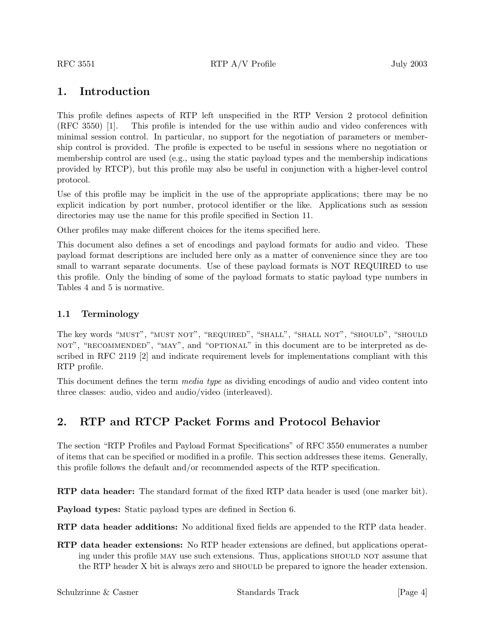# **1. Introduction**

This profile defines aspects of RTP left unspecified in the RTP Version 2 protocol definition (RFC 3550) [1]. This profile is intended for the use within audio and video conferences with minimal session control. In particular, no support for the negotiation of parameters or membership control is provided. The profile is expected to be useful in sessions where no negotiation or membership control are used (e.g., using the static payload types and the membership indications provided by RTCP), but this profile may also be useful in conjunction with a higher-level control protocol.

Use of this profile may be implicit in the use of the appropriate applications; there may be no explicit indication by port number, protocol identifier or the like. Applications such as session directories may use the name for this profile specified in Section 11.

Other profiles may make different choices for the items specified here.

This document also defines a set of encodings and payload formats for audio and video. These payload format descriptions are included here only as a matter of convenience since they are too small to warrant separate documents. Use of these payload formats is NOT REQUIRED to use this profile. Only the binding of some of the payload formats to static payload type numbers in Tables 4 and 5 is normative.

## **1.1 Terminology**

The key words "MUST", "MUST NOT", "REQUIRED", "SHALL", "SHALL NOT", "SHOULD", "SHOULD NOT", "RECOMMENDED", "MAY", and "OPTIONAL" in this document are to be interpreted as described in RFC 2119 [2] and indicate requirement levels for implementations compliant with this RTP profile.

This document defines the term *media type* as dividing encodings of audio and video content into three classes: audio, video and audio/video (interleaved).

# **2. RTP and RTCP Packet Forms and Protocol Behavior**

The section "RTP Profiles and Payload Format Specifications" of RFC 3550 enumerates a number of items that can be specified or modified in a profile. This section addresses these items. Generally, this profile follows the default and/or recommended aspects of the RTP specification.

**RTP data header:** The standard format of the fixed RTP data header is used (one marker bit).

**Payload types:** Static payload types are defined in Section 6.

**RTP data header additions:** No additional fixed fields are appended to the RTP data header.

**RTP data header extensions:** No RTP header extensions are defined, but applications operating under this profile MAY use such extensions. Thus, applications SHOULD NOT assume that the RTP header X bit is always zero and SHOULD be prepared to ignore the header extension.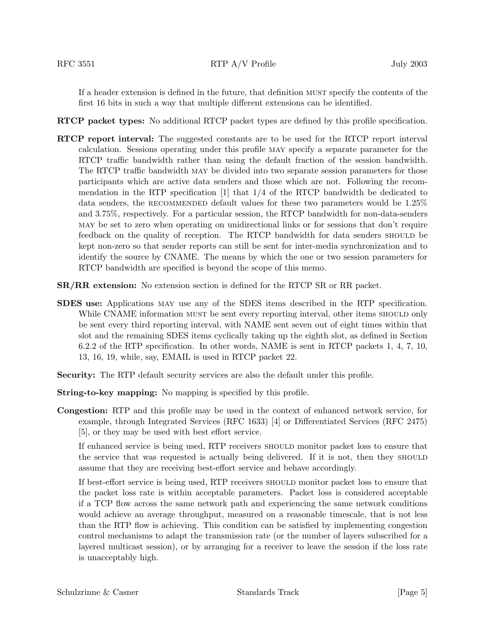If a header extension is defined in the future, that definition must specify the contents of the first 16 bits in such a way that multiple different extensions can be identified.

- **RTCP packet types:** No additional RTCP packet types are defined by this profile specification.
- **RTCP report interval:** The suggested constants are to be used for the RTCP report interval calculation. Sessions operating under this profile may specify a separate parameter for the RTCP traffic bandwidth rather than using the default fraction of the session bandwidth. The RTCP traffic bandwidth may be divided into two separate session parameters for those participants which are active data senders and those which are not. Following the recommendation in the RTP specification  $[1]$  that  $1/4$  of the RTCP bandwidth be dedicated to data senders, the RECOMMENDED default values for these two parameters would be 1.25% and 3.75%, respectively. For a particular session, the RTCP bandwidth for non-data-senders may be set to zero when operating on unidirectional links or for sessions that don't require feedback on the quality of reception. The RTCP bandwidth for data senders should be kept non-zero so that sender reports can still be sent for inter-media synchronization and to identify the source by CNAME. The means by which the one or two session parameters for RTCP bandwidth are specified is beyond the scope of this memo.
- **SR/RR extension:** No extension section is defined for the RTCP SR or RR packet.
- **SDES use:** Applications may use any of the SDES items described in the RTP specification. While CNAME information MUST be sent every reporting interval, other items SHOULD only be sent every third reporting interval, with NAME sent seven out of eight times within that slot and the remaining SDES items cyclically taking up the eighth slot, as defined in Section 6.2.2 of the RTP specification. In other words, NAME is sent in RTCP packets 1, 4, 7, 10, 13, 16, 19, while, say, EMAIL is used in RTCP packet 22.
- **Security:** The RTP default security services are also the default under this profile.
- **String-to-key mapping:** No mapping is specified by this profile.
- **Congestion:** RTP and this profile may be used in the context of enhanced network service, for example, through Integrated Services (RFC 1633) [4] or Differentiated Services (RFC 2475) [5], or they may be used with best effort service.

If enhanced service is being used, RTP receivers should monitor packet loss to ensure that the service that was requested is actually being delivered. If it is not, then they should assume that they are receiving best-effort service and behave accordingly.

If best-effort service is being used, RTP receivers should monitor packet loss to ensure that the packet loss rate is within acceptable parameters. Packet loss is considered acceptable if a TCP flow across the same network path and experiencing the same network conditions would achieve an average throughput, measured on a reasonable timescale, that is not less than the RTP flow is achieving. This condition can be satisfied by implementing congestion control mechanisms to adapt the transmission rate (or the number of layers subscribed for a layered multicast session), or by arranging for a receiver to leave the session if the loss rate is unacceptably high.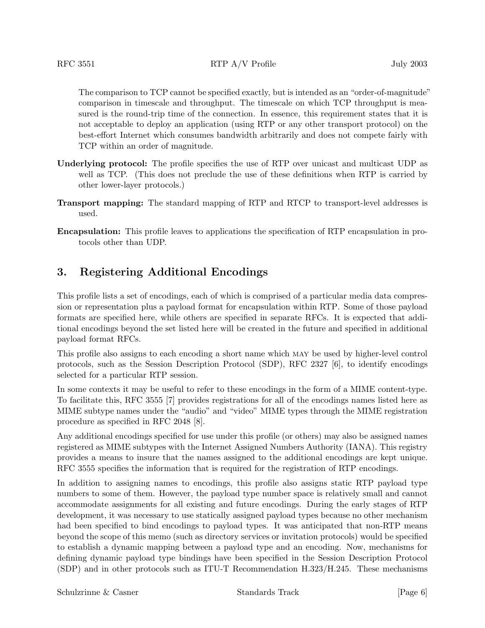The comparison to TCP cannot be specified exactly, but is intended as an "order-of-magnitude" comparison in timescale and throughput. The timescale on which TCP throughput is measured is the round-trip time of the connection. In essence, this requirement states that it is not acceptable to deploy an application (using RTP or any other transport protocol) on the best-effort Internet which consumes bandwidth arbitrarily and does not compete fairly with TCP within an order of magnitude.

- **Underlying protocol:** The profile specifies the use of RTP over unicast and multicast UDP as well as TCP. (This does not preclude the use of these definitions when RTP is carried by other lower-layer protocols.)
- **Transport mapping:** The standard mapping of RTP and RTCP to transport-level addresses is used.
- **Encapsulation:** This profile leaves to applications the specification of RTP encapsulation in protocols other than UDP.

# **3. Registering Additional Encodings**

This profile lists a set of encodings, each of which is comprised of a particular media data compression or representation plus a payload format for encapsulation within RTP. Some of those payload formats are specified here, while others are specified in separate RFCs. It is expected that additional encodings beyond the set listed here will be created in the future and specified in additional payload format RFCs.

This profile also assigns to each encoding a short name which may be used by higher-level control protocols, such as the Session Description Protocol (SDP), RFC 2327 [6], to identify encodings selected for a particular RTP session.

In some contexts it may be useful to refer to these encodings in the form of a MIME content-type. To facilitate this, RFC 3555 [7] provides registrations for all of the encodings names listed here as MIME subtype names under the "audio" and "video" MIME types through the MIME registration procedure as specified in RFC 2048 [8].

Any additional encodings specified for use under this profile (or others) may also be assigned names registered as MIME subtypes with the Internet Assigned Numbers Authority (IANA). This registry provides a means to insure that the names assigned to the additional encodings are kept unique. RFC 3555 specifies the information that is required for the registration of RTP encodings.

In addition to assigning names to encodings, this profile also assigns static RTP payload type numbers to some of them. However, the payload type number space is relatively small and cannot accommodate assignments for all existing and future encodings. During the early stages of RTP development, it was necessary to use statically assigned payload types because no other mechanism had been specified to bind encodings to payload types. It was anticipated that non-RTP means beyond the scope of this memo (such as directory services or invitation protocols) would be specified to establish a dynamic mapping between a payload type and an encoding. Now, mechanisms for defining dynamic payload type bindings have been specified in the Session Description Protocol (SDP) and in other protocols such as ITU-T Recommendation H.323/H.245. These mechanisms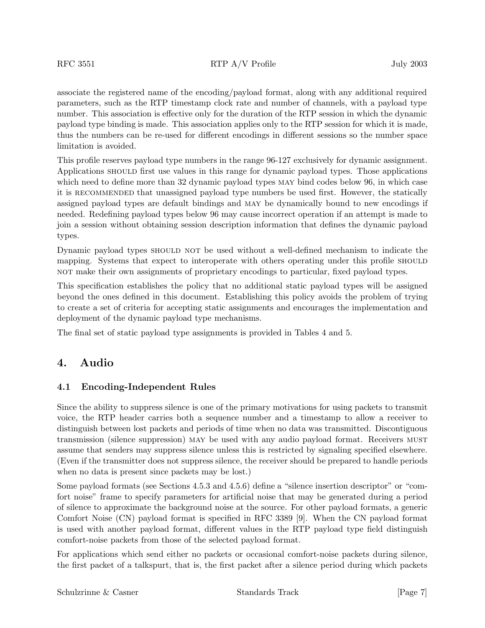associate the registered name of the encoding/payload format, along with any additional required parameters, such as the RTP timestamp clock rate and number of channels, with a payload type number. This association is effective only for the duration of the RTP session in which the dynamic payload type binding is made. This association applies only to the RTP session for which it is made, thus the numbers can be re-used for different encodings in different sessions so the number space limitation is avoided.

This profile reserves payload type numbers in the range 96-127 exclusively for dynamic assignment. Applications should first use values in this range for dynamic payload types. Those applications which need to define more than 32 dynamic payload types MAY bind codes below 96, in which case it is recommended that unassigned payload type numbers be used first. However, the statically assigned payload types are default bindings and may be dynamically bound to new encodings if needed. Redefining payload types below 96 may cause incorrect operation if an attempt is made to join a session without obtaining session description information that defines the dynamic payload types.

Dynamic payload types should not be used without a well-defined mechanism to indicate the mapping. Systems that expect to interoperate with others operating under this profile SHOULD not make their own assignments of proprietary encodings to particular, fixed payload types.

This specification establishes the policy that no additional static payload types will be assigned beyond the ones defined in this document. Establishing this policy avoids the problem of trying to create a set of criteria for accepting static assignments and encourages the implementation and deployment of the dynamic payload type mechanisms.

The final set of static payload type assignments is provided in Tables 4 and 5.

# **4. Audio**

## **4.1 Encoding-Independent Rules**

Since the ability to suppress silence is one of the primary motivations for using packets to transmit voice, the RTP header carries both a sequence number and a timestamp to allow a receiver to distinguish between lost packets and periods of time when no data was transmitted. Discontiguous transmission (silence suppression) may be used with any audio payload format. Receivers must assume that senders may suppress silence unless this is restricted by signaling specified elsewhere. (Even if the transmitter does not suppress silence, the receiver should be prepared to handle periods when no data is present since packets may be lost.)

Some payload formats (see Sections 4.5.3 and 4.5.6) define a "silence insertion descriptor" or "comfort noise" frame to specify parameters for artificial noise that may be generated during a period of silence to approximate the background noise at the source. For other payload formats, a generic Comfort Noise (CN) payload format is specified in RFC 3389 [9]. When the CN payload format is used with another payload format, different values in the RTP payload type field distinguish comfort-noise packets from those of the selected payload format.

For applications which send either no packets or occasional comfort-noise packets during silence, the first packet of a talkspurt, that is, the first packet after a silence period during which packets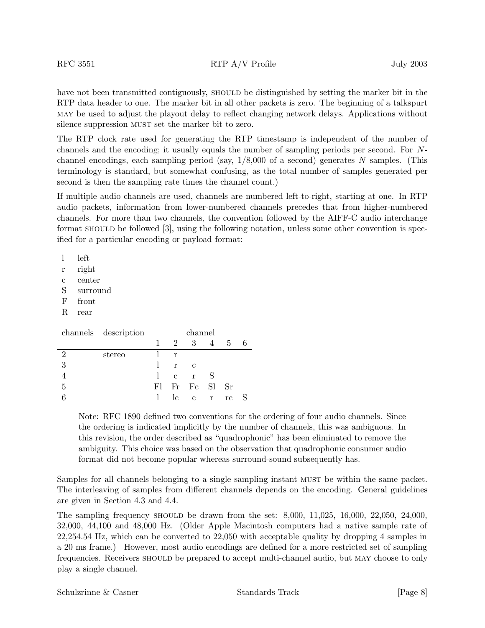have not been transmitted contiguously, SHOULD be distinguished by setting the marker bit in the RTP data header to one. The marker bit in all other packets is zero. The beginning of a talkspurt may be used to adjust the playout delay to reflect changing network delays. Applications without silence suppression MUST set the marker bit to zero.

The RTP clock rate used for generating the RTP timestamp is independent of the number of channels and the encoding; it usually equals the number of sampling periods per second. For Nchannel encodings, each sampling period (say,  $1/8,000$  of a second) generates N samples. (This terminology is standard, but somewhat confusing, as the total number of samples generated per second is then the sampling rate times the channel count.)

If multiple audio channels are used, channels are numbered left-to-right, starting at one. In RTP audio packets, information from lower-numbered channels precedes that from higher-numbered channels. For more than two channels, the convention followed by the AIFF-C audio interchange format should be followed [3], using the following notation, unless some other convention is specified for a particular encoding or payload format:

l left

- r right
- c center
- S surround
- F front
- R rear

|   | channels description | channel      |     |                |   |      |   |  |  |  |  |
|---|----------------------|--------------|-----|----------------|---|------|---|--|--|--|--|
|   |                      | 1            | 2   | 3 <sup>3</sup> | 4 | $-5$ | 6 |  |  |  |  |
| 2 | stereo               |              | r   |                |   |      |   |  |  |  |  |
| 3 |                      |              | r c |                |   |      |   |  |  |  |  |
|   |                      | $\mathbf{l}$ |     | $c \r S$       |   |      |   |  |  |  |  |
| 5 |                      |              |     | Fl Fr Fc Sl Sr |   |      |   |  |  |  |  |
|   |                      | $\mathbb{R}$ |     | le e r re      |   |      |   |  |  |  |  |

Note: RFC 1890 defined two conventions for the ordering of four audio channels. Since the ordering is indicated implicitly by the number of channels, this was ambiguous. In this revision, the order described as "quadrophonic" has been eliminated to remove the ambiguity. This choice was based on the observation that quadrophonic consumer audio format did not become popular whereas surround-sound subsequently has.

Samples for all channels belonging to a single sampling instant MUST be within the same packet. The interleaving of samples from different channels depends on the encoding. General guidelines are given in Section 4.3 and 4.4.

The sampling frequency should be drawn from the set: 8,000, 11,025, 16,000, 22,050, 24,000, 32,000, 44,100 and 48,000 Hz. (Older Apple Macintosh computers had a native sample rate of 22,254.54 Hz, which can be converted to 22,050 with acceptable quality by dropping 4 samples in a 20 ms frame.) However, most audio encodings are defined for a more restricted set of sampling frequencies. Receivers should be prepared to accept multi-channel audio, but may choose to only play a single channel.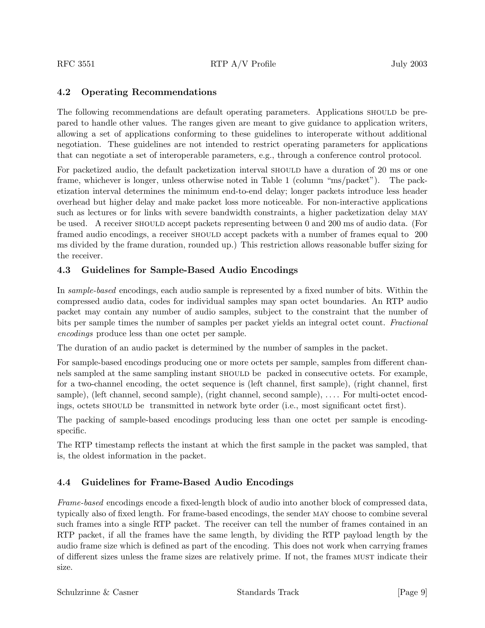# **4.2 Operating Recommendations**

The following recommendations are default operating parameters. Applications SHOULD be prepared to handle other values. The ranges given are meant to give guidance to application writers, allowing a set of applications conforming to these guidelines to interoperate without additional negotiation. These guidelines are not intended to restrict operating parameters for applications that can negotiate a set of interoperable parameters, e.g., through a conference control protocol.

For packetized audio, the default packetization interval should have a duration of 20 ms or one frame, whichever is longer, unless otherwise noted in Table 1 (column "ms/packet"). The packetization interval determines the minimum end-to-end delay; longer packets introduce less header overhead but higher delay and make packet loss more noticeable. For non-interactive applications such as lectures or for links with severe bandwidth constraints, a higher packetization delay MAY be used. A receiver should accept packets representing between 0 and 200 ms of audio data. (For framed audio encodings, a receiver should accept packets with a number of frames equal to 200 ms divided by the frame duration, rounded up.) This restriction allows reasonable buffer sizing for the receiver.

# **4.3 Guidelines for Sample-Based Audio Encodings**

In *sample-based* encodings, each audio sample is represented by a fixed number of bits. Within the compressed audio data, codes for individual samples may span octet boundaries. An RTP audio packet may contain any number of audio samples, subject to the constraint that the number of bits per sample times the number of samples per packet yields an integral octet count. *Fractional encodings* produce less than one octet per sample.

The duration of an audio packet is determined by the number of samples in the packet.

For sample-based encodings producing one or more octets per sample, samples from different channels sampled at the same sampling instant should be packed in consecutive octets. For example, for a two-channel encoding, the octet sequence is (left channel, first sample), (right channel, first sample), (left channel, second sample), (right channel, second sample), .... For multi-octet encodings, octets should be transmitted in network byte order (i.e., most significant octet first).

The packing of sample-based encodings producing less than one octet per sample is encodingspecific.

The RTP timestamp reflects the instant at which the first sample in the packet was sampled, that is, the oldest information in the packet.

# **4.4 Guidelines for Frame-Based Audio Encodings**

*Frame-based* encodings encode a fixed-length block of audio into another block of compressed data, typically also of fixed length. For frame-based encodings, the sender may choose to combine several such frames into a single RTP packet. The receiver can tell the number of frames contained in an RTP packet, if all the frames have the same length, by dividing the RTP payload length by the audio frame size which is defined as part of the encoding. This does not work when carrying frames of different sizes unless the frame sizes are relatively prime. If not, the frames must indicate their size.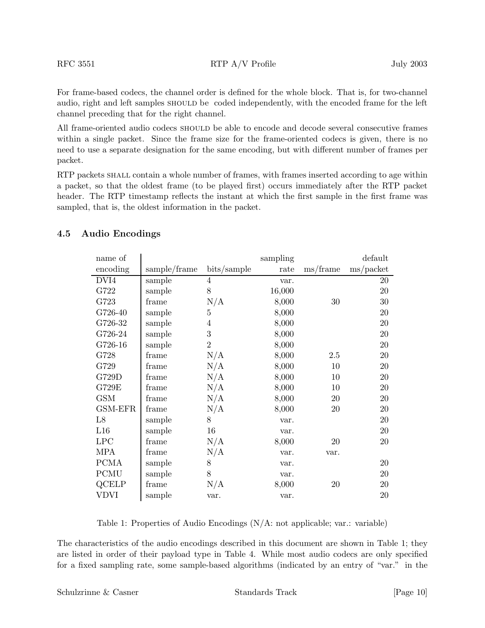For frame-based codecs, the channel order is defined for the whole block. That is, for two-channel audio, right and left samples should be coded independently, with the encoded frame for the left channel preceding that for the right channel.

All frame-oriented audio codecs SHOULD be able to encode and decode several consecutive frames within a single packet. Since the frame size for the frame-oriented codecs is given, there is no need to use a separate designation for the same encoding, but with different number of frames per packet.

RTP packets shall contain a whole number of frames, with frames inserted according to age within a packet, so that the oldest frame (to be played first) occurs immediately after the RTP packet header. The RTP timestamp reflects the instant at which the first sample in the first frame was sampled, that is, the oldest information in the packet.

| name of     |              |                | sampling |                                | default                   |
|-------------|--------------|----------------|----------|--------------------------------|---------------------------|
| encoding    | sample/frame | bits/sample    | rate     | $\,\mathrm{ms}/\mathrm{frame}$ | $\text{ms}/\text{packet}$ |
| DVI4        | sample       | 4              | var.     |                                | 20                        |
| G722        | sample       | 8              | 16,000   |                                | $20\,$                    |
| G723        | frame        | N/A            | 8,000    | 30                             | 30                        |
| G726-40     | sample       | $\overline{5}$ | 8,000    |                                | 20                        |
| G726-32     | sample       | $\overline{4}$ | 8,000    |                                | $20\,$                    |
| G726-24     | sample       | 3              | 8,000    |                                | 20                        |
| G726-16     | sample       | $\overline{2}$ | 8,000    |                                | 20                        |
| G728        | frame        | N/A            | 8,000    | 2.5                            | $20\,$                    |
| G729        | frame        | N/A            | 8,000    | 10                             | $20\,$                    |
| G729D       | frame        | N/A            | 8,000    | 10                             | 20                        |
| G729E       | frame        | N/A            | 8,000    | 10                             | 20                        |
| <b>GSM</b>  | frame        | N/A            | 8,000    | 20                             | 20                        |
| GSM-EFR     | frame        | N/A            | 8,000    | 20                             | 20                        |
| L8          | sample       | 8              | var.     |                                | 20                        |
| L16         | sample       | 16             | var.     |                                | 20                        |
| LPC         | frame        | N/A            | 8,000    | $20\,$                         | 20                        |
| <b>MPA</b>  | frame        | N/A            | var.     | var.                           |                           |
| <b>PCMA</b> | sample       | 8              | var.     |                                | 20                        |
| <b>PCMU</b> | sample       | 8              | var.     |                                | 20                        |
| QCELP       | frame        | N/A            | 8,000    | 20                             | 20                        |
| VDVI        | sample       | var.           | var.     |                                | 20                        |

## **4.5 Audio Encodings**

Table 1: Properties of Audio Encodings (N/A: not applicable; var.: variable)

The characteristics of the audio encodings described in this document are shown in Table 1; they are listed in order of their payload type in Table 4. While most audio codecs are only specified for a fixed sampling rate, some sample-based algorithms (indicated by an entry of "var." in the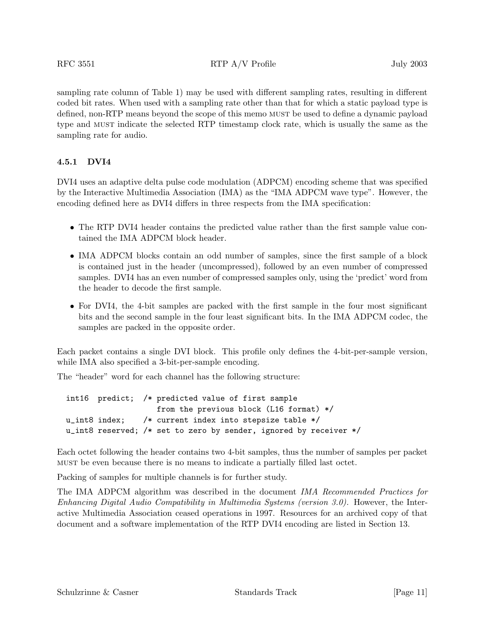sampling rate column of Table 1) may be used with different sampling rates, resulting in different coded bit rates. When used with a sampling rate other than that for which a static payload type is defined, non-RTP means beyond the scope of this memo MUST be used to define a dynamic payload type and must indicate the selected RTP timestamp clock rate, which is usually the same as the sampling rate for audio.

## **4.5.1 DVI4**

DVI4 uses an adaptive delta pulse code modulation (ADPCM) encoding scheme that was specified by the Interactive Multimedia Association (IMA) as the "IMA ADPCM wave type". However, the encoding defined here as DVI4 differs in three respects from the IMA specification:

- The RTP DVI4 header contains the predicted value rather than the first sample value contained the IMA ADPCM block header.
- IMA ADPCM blocks contain an odd number of samples, since the first sample of a block is contained just in the header (uncompressed), followed by an even number of compressed samples. DVI4 has an even number of compressed samples only, using the 'predict' word from the header to decode the first sample.
- For DVI4, the 4-bit samples are packed with the first sample in the four most significant bits and the second sample in the four least significant bits. In the IMA ADPCM codec, the samples are packed in the opposite order.

Each packet contains a single DVI block. This profile only defines the 4-bit-per-sample version, while IMA also specified a 3-bit-per-sample encoding.

The "header" word for each channel has the following structure:

int16 predict; /\* predicted value of first sample from the previous block (L16 format) \*/ u\_int8 index; /\* current index into stepsize table \*/ u\_int8 reserved; /\* set to zero by sender, ignored by receiver \*/

Each octet following the header contains two 4-bit samples, thus the number of samples per packet must be even because there is no means to indicate a partially filled last octet.

Packing of samples for multiple channels is for further study.

The IMA ADPCM algorithm was described in the document *IMA Recommended Practices for Enhancing Digital Audio Compatibility in Multimedia Systems (version 3.0).* However, the Interactive Multimedia Association ceased operations in 1997. Resources for an archived copy of that document and a software implementation of the RTP DVI4 encoding are listed in Section 13.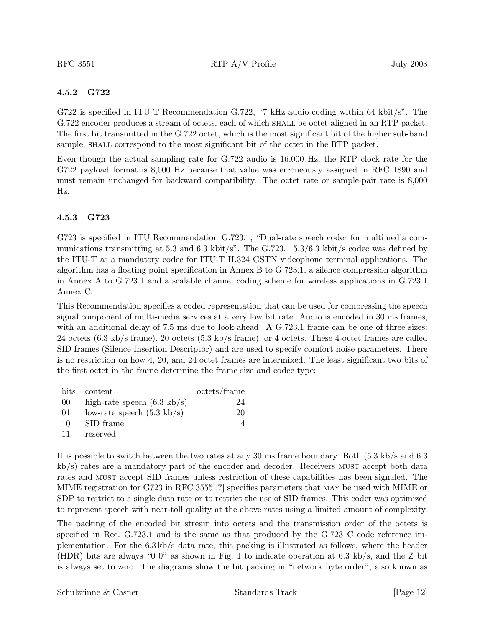#### **4.5.2 G722**

G722 is specified in ITU-T Recommendation G.722, "7 kHz audio-coding within 64 kbit/s". The G.722 encoder produces a stream of octets, each of which shall be octet-aligned in an RTP packet. The first bit transmitted in the G.722 octet, which is the most significant bit of the higher sub-band sample, SHALL correspond to the most significant bit of the octet in the RTP packet.

Even though the actual sampling rate for G.722 audio is 16,000 Hz, the RTP clock rate for the G722 payload format is 8,000 Hz because that value was erroneously assigned in RFC 1890 and must remain unchanged for backward compatibility. The octet rate or sample-pair rate is 8,000 Hz.

#### **4.5.3 G723**

G723 is specified in ITU Recommendation G.723.1, "Dual-rate speech coder for multimedia communications transmitting at 5.3 and 6.3 kbit/s". The  $G.723.1$  5.3/6.3 kbit/s codec was defined by the ITU-T as a mandatory codec for ITU-T H.324 GSTN videophone terminal applications. The algorithm has a floating point specification in Annex B to G.723.1, a silence compression algorithm in Annex A to G.723.1 and a scalable channel coding scheme for wireless applications in G.723.1 Annex C.

This Recommendation specifies a coded representation that can be used for compressing the speech signal component of multi-media services at a very low bit rate. Audio is encoded in 30 ms frames, with an additional delay of 7.5 ms due to look-ahead. A G.723.1 frame can be one of three sizes: 24 octets (6.3 kb/s frame), 20 octets (5.3 kb/s frame), or 4 octets. These 4-octet frames are called SID frames (Silence Insertion Descriptor) and are used to specify comfort noise parameters. There is no restriction on how 4, 20, and 24 octet frames are intermixed. The least significant two bits of the first octet in the frame determine the frame size and codec type:

| bits | content                               | octets/frame |
|------|---------------------------------------|--------------|
| 00   | high-rate speech $(6.3 \text{ kb/s})$ | 24           |
| 01   | low-rate speech $(5.3 \text{ kb/s})$  | 20           |
| 10   | SID frame                             |              |
| 11   | reserved                              |              |

It is possible to switch between the two rates at any 30 ms frame boundary. Both (5.3 kb/s and 6.3 kb/s) rates are a mandatory part of the encoder and decoder. Receivers must accept both data rates and must accept SID frames unless restriction of these capabilities has been signaled. The MIME registration for G723 in RFC 3555 [7] specifies parameters that may be used with MIME or SDP to restrict to a single data rate or to restrict the use of SID frames. This coder was optimized to represent speech with near-toll quality at the above rates using a limited amount of complexity.

The packing of the encoded bit stream into octets and the transmission order of the octets is specified in Rec. G.723.1 and is the same as that produced by the G.723 C code reference implementation. For the 6.3 kb/s data rate, this packing is illustrated as follows, where the header (HDR) bits are always "0 0" as shown in Fig. 1 to indicate operation at 6.3 kb/s, and the Z bit is always set to zero. The diagrams show the bit packing in "network byte order", also known as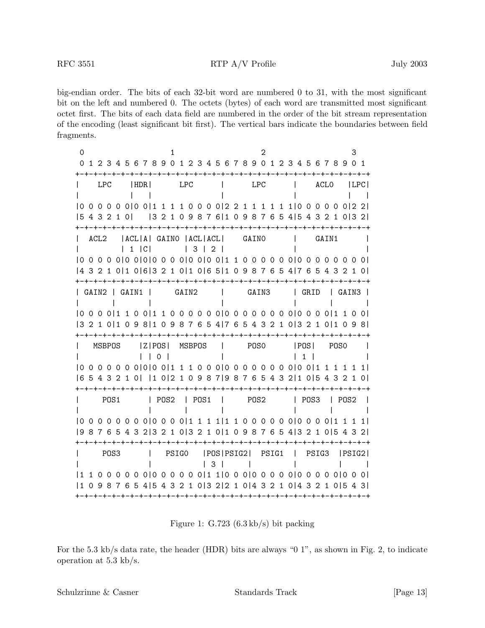big-endian order. The bits of each 32-bit word are numbered 0 to 31, with the most significant bit on the left and numbered 0. The octets (bytes) of each word are transmitted most significant octet first. The bits of each data field are numbered in the order of the bit stream representation of the encoding (least significant bit first). The vertical bars indicate the boundaries between field fragments.

| 0<br>0                                                                          | 1 2 3 4 5 6 7 8 9 0 1 2 3 4 5 6 7 8 9 0 1 2 3 4 5 6 7 8 9 0 1         |                  |  |                                    |             | ーナーナーナーナ  |            |       |        |                          |  | -+-+-+-+-+-+-+-+-+-+-+                                 |                  | 2     |           |              |              |      |       |       |      |             | З |         |
|---------------------------------------------------------------------------------|-----------------------------------------------------------------------|------------------|--|------------------------------------|-------------|-----------|------------|-------|--------|--------------------------|--|--------------------------------------------------------|------------------|-------|-----------|--------------|--------------|------|-------|-------|------|-------------|---|---------|
|                                                                                 |                                                                       | LPC              |  | I HDR I                            |             |           | <b>LPC</b> |       |        |                          |  |                                                        | <b>LPC</b>       |       |           |              |              |      |       | ACLO  |      |             |   | ILPCI   |
| 15432101                                                                        |                                                                       |                  |  |                                    |             |           |            |       |        |                          |  | $[3 2 1 0 9 8 7 6] 1 0 9 8 7 6 5 4] 5 4 3 2 1 0] 3 2]$ |                  |       |           |              |              |      |       |       |      |             |   |         |
|                                                                                 | ACL <sub>2</sub>                                                      |                  |  | IACLIAI GAINO IACLIACLI<br>  1   C |             |           |            |       | 3   2  |                          |  |                                                        | GAINO            |       |           |              |              |      |       | GAIN1 |      |             |   |         |
| 43210 10 6 3210 10 65 10987654 76543210                                         |                                                                       |                  |  |                                    |             |           |            |       |        |                          |  |                                                        |                  |       |           |              |              |      |       |       |      |             |   |         |
|                                                                                 | GAIN2   GAIN1                                                         |                  |  |                                    |             |           |            | GAIN2 |        |                          |  |                                                        |                  | GAIN3 |           |              | $\mathbf{L}$ | GRID |       |       |      | I GAIN3     |   |         |
| [00001110011100000000000000000001100]<br> 3210 1098 10987654 76543210 3210 1098 |                                                                       |                  |  |                                    |             |           |            |       |        |                          |  |                                                        |                  |       |           |              |              |      |       |       |      |             |   |         |
|                                                                                 | MSBPOS                                                                |                  |  |                                    | Z POS <br>0 |           |            |       | MSBPOS | <b>Contract Contract</b> |  |                                                        | POS0             |       |           |              |              | POS  |       |       | POSO |             |   |         |
| 16.                                                                             | 5 4 3 2 1 0   1 0   2 1 0 9 8 7   9 8 7 6 5 4 3 2   1 0   5 4 3 2 1 0 |                  |  |                                    |             |           |            |       |        |                          |  |                                                        |                  |       |           |              |              |      |       |       |      |             |   | 1 I     |
|                                                                                 |                                                                       | POS1             |  |                                    | POS2        | -+-+-+-+- |            |       | POS1   |                          |  | -+-+-+-+-+                                             | POS <sub>2</sub> |       | -+-+-+-+- |              |              | POS3 |       | -+–+  |      | $\mid$ POS2 |   |         |
| $(0.00000000000011111110000000000111111)$                                       | 98765432 3210 3210 10987654 3210 5432                                 |                  |  |                                    |             |           |            |       |        |                          |  |                                                        |                  |       |           |              |              |      |       |       |      |             |   |         |
|                                                                                 |                                                                       | POS <sub>3</sub> |  |                                    |             | PSIGO     |            |       |        | 3<br>- 1                 |  | POSIPSIG21 PSIG1                                       |                  |       |           | $\mathbf{I}$ |              |      | PSIG3 |       |      |             |   | IPSIG21 |
| $\vert$ 1                                                                       | 0 9 8 7 6 5 4 5 4 3 2 1 0 3 2 2 1 0 4 3 2 1 0 4 3 2 1 0 5 4 3         |                  |  |                                    |             |           |            |       |        |                          |  |                                                        |                  |       |           |              |              |      |       |       |      |             |   |         |

Figure 1: G.723 (6.3 kb/s) bit packing

For the 5.3 kb/s data rate, the header (HDR) bits are always "0 1", as shown in Fig. 2, to indicate operation at 5.3 kb/s.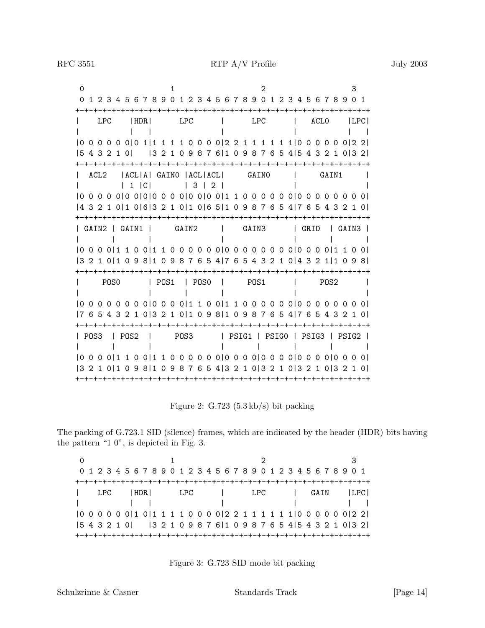0 1 2 3 01234567890123456789012345678901 +-+-+-+-+-+-+-+-+-+-+-+-+-+-+-+-+-+-+-+-+-+-+-+-+-+-+-+-+-+-+-+-+ | LPC |HDR| LPC | LPC | ACL0 |LPC| | || | | || |0 0 0 0 0 0|0 1|1 1 1 1 0 0 0 0|2 2 1 1 1 1 1 1|0 0 0 0 0 0|2 2| |5 4 3 2 1 0| |3 2 1 0 9 8 7 6|1 0 9 8 7 6 5 4|5 4 3 2 1 0|3 2| +-+-+-+-+-+-+-+-+-+-+-+-+-+-+-+-+-+-+-+-+-+-+-+-+-+-+-+-+-+-+-+-+ | ACL2 |ACL|A| GAIN0 |ACL|ACL| GAIN0 | GAIN1 | | | 1 |C| | 3 | 2 | | | |0 0 0 0 0|0 0|0|0 0 0 0|0 0|0 0|1 1 0 0 0 0 0 0|0 0 0 0 0 0 0 0| |4 3 2 1 0|1 0|6|3 2 1 0|1 0|6 5|1 0 9 8 7 6 5 4|7 6 5 4 3 2 1 0| +-+-+-+-+-+-+-+-+-+-+-+-+-+-+-+-+-+-+-+-+-+-+-+-+-+-+-+-+-+-+-+-+ | GAIN2 | GAIN1 | GAIN2 | GAIN3 | GRID | GAIN3 | ||| | ||| |0 0 0 0|1 1 0 0|1 1 0 0 0 0 0 0|0 0 0 0 0 0 0 0|0 0 0 0|1 1 0 0| |3 2 1 0|1 0 9 8|1 0 9 8 7 6 5 4|7 6 5 4 3 2 1 0|4 3 2 1|1 0 9 8| +-+-+-+-+-+-+-+-+-+-+-+-+-+-+-+-+-+-+-+-+-+-+-+-+-+-+-+-+-+-+-+-+ | POS0 | POS1 | POS0 | POS1 | POS2 | | ||| | | |0 0 0 0 0 0 0 0|0 0 0 0|1 1 0 0|1 1 0 0 0 0 0 0|0 0 0 0 0 0 0 0| |7 6 5 4 3 2 1 0|3 2 1 0|1 0 9 8|1 0 9 8 7 6 5 4|7 6 5 4 3 2 1 0| +-+-+-+-+-+-+-+-+-+-+-+-+-+-+-+-+-+-+-+-+-+-+-+-+-+-+-+-+-+-+-+-+ | POS3 | POS2 | POS3 | PSIG1 | PSIG0 | PSIG3 | PSIG2 | ||| ||||| |0 0 0 0|1 1 0 0|1 1 0 0 0 0 0 0|0 0 0 0|0 0 0 0|0 0 0 0|0 0 0 0| |3 2 1 0|1 0 9 8|1 0 9 8 7 6 5 4|3 2 1 0|3 2 1 0|3 2 1 0|3 2 1 0| +-+-+-+-+-+-+-+-+-+-+-+-+-+-+-+-+-+-+-+-+-+-+-+-+-+-+-+-+-+-+-+-+

Figure 2: G.723 (5.3 kb/s) bit packing

The packing of G.723.1 SID (silence) frames, which are indicated by the header (HDR) bits having the pattern "1 0", is depicted in Fig. 3.

|  |  |  |  |  |  |  |  |  |  |  | 0 1 2 3 4 5 6 7 8 9 0 1 2 3 4 5 6 7 8 9 0 1 2 3 4 5 6 7 8 9 0 1                                                                                                                                                                                                                               |  |  |  |  |  |  |  |
|--|--|--|--|--|--|--|--|--|--|--|-----------------------------------------------------------------------------------------------------------------------------------------------------------------------------------------------------------------------------------------------------------------------------------------------|--|--|--|--|--|--|--|
|  |  |  |  |  |  |  |  |  |  |  |                                                                                                                                                                                                                                                                                               |  |  |  |  |  |  |  |
|  |  |  |  |  |  |  |  |  |  |  | LPC  HDR  LPC   LPC   GAIN  LPC                                                                                                                                                                                                                                                               |  |  |  |  |  |  |  |
|  |  |  |  |  |  |  |  |  |  |  |                                                                                                                                                                                                                                                                                               |  |  |  |  |  |  |  |
|  |  |  |  |  |  |  |  |  |  |  |                                                                                                                                                                                                                                                                                               |  |  |  |  |  |  |  |
|  |  |  |  |  |  |  |  |  |  |  |                                                                                                                                                                                                                                                                                               |  |  |  |  |  |  |  |
|  |  |  |  |  |  |  |  |  |  |  | $\begin{bmatrix} 5 & 4 & 3 & 2 & 1 & 0 \end{bmatrix}$ $\begin{bmatrix} 3 & 2 & 1 & 0 & 9 & 8 & 7 & 6 \end{bmatrix}$ $\begin{bmatrix} 1 & 0 & 9 & 8 & 7 & 6 & 5 & 4 \end{bmatrix}$ $\begin{bmatrix} 5 & 4 & 3 & 2 & 1 & 0 \end{bmatrix}$ $\begin{bmatrix} 3 & 2 & 1 & 0 & 3 & 2 \end{bmatrix}$ |  |  |  |  |  |  |  |

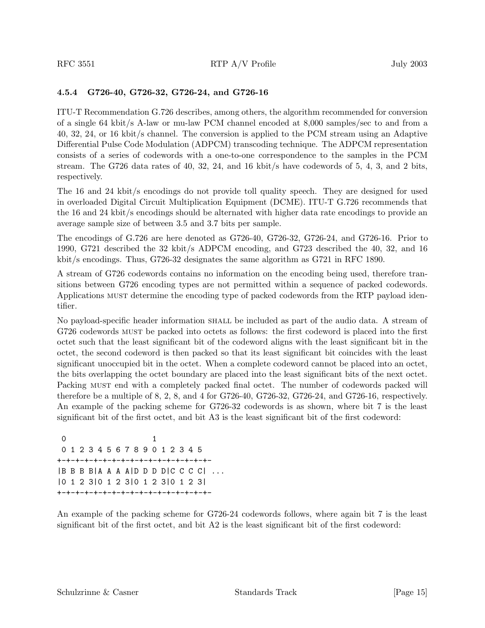#### **4.5.4 G726-40, G726-32, G726-24, and G726-16**

ITU-T Recommendation G.726 describes, among others, the algorithm recommended for conversion of a single 64 kbit/s A-law or mu-law PCM channel encoded at 8,000 samples/sec to and from a 40, 32, 24, or 16 kbit/s channel. The conversion is applied to the PCM stream using an Adaptive Differential Pulse Code Modulation (ADPCM) transcoding technique. The ADPCM representation consists of a series of codewords with a one-to-one correspondence to the samples in the PCM stream. The G726 data rates of  $40, 32, 24,$  and  $16$  kbit/s have codewords of  $5, 4, 3,$  and  $2$  bits, respectively.

The 16 and 24 kbit/s encodings do not provide toll quality speech. They are designed for used in overloaded Digital Circuit Multiplication Equipment (DCME). ITU-T G.726 recommends that the 16 and 24 kbit/s encodings should be alternated with higher data rate encodings to provide an average sample size of between 3.5 and 3.7 bits per sample.

The encodings of G.726 are here denoted as G726-40, G726-32, G726-24, and G726-16. Prior to 1990, G721 described the 32 kbit/s ADPCM encoding, and G723 described the 40, 32, and 16 kbit/s encodings. Thus, G726-32 designates the same algorithm as G721 in RFC 1890.

A stream of G726 codewords contains no information on the encoding being used, therefore transitions between G726 encoding types are not permitted within a sequence of packed codewords. Applications must determine the encoding type of packed codewords from the RTP payload identifier.

No payload-specific header information shall be included as part of the audio data. A stream of G726 codewords must be packed into octets as follows: the first codeword is placed into the first octet such that the least significant bit of the codeword aligns with the least significant bit in the octet, the second codeword is then packed so that its least significant bit coincides with the least significant unoccupied bit in the octet. When a complete codeword cannot be placed into an octet, the bits overlapping the octet boundary are placed into the least significant bits of the next octet. Packing MUST end with a completely packed final octet. The number of codewords packed will therefore be a multiple of 8, 2, 8, and 4 for G726-40, G726-32, G726-24, and G726-16, respectively. An example of the packing scheme for G726-32 codewords is as shown, where bit 7 is the least significant bit of the first octet, and bit A3 is the least significant bit of the first codeword:

0 1 0123456789012345 +-+-+-+-+-+-+-+-+-+-+-+-+-+-+-+-+- |B B B B|A A A A|D D D D|C C C C| ... |0 1 2 3|0 1 2 3|0 1 2 3|0 1 2 3| +-+-+-+-+-+-+-+-+-+-+-+-+-+-+-+-+-

An example of the packing scheme for G726-24 codewords follows, where again bit 7 is the least significant bit of the first octet, and bit A2 is the least significant bit of the first codeword: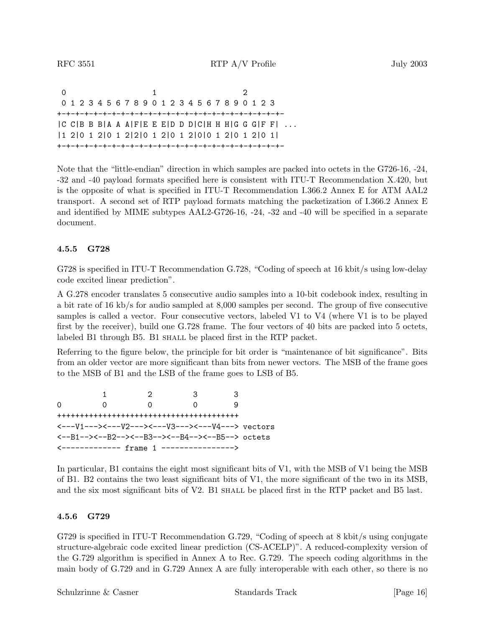0 1 2 012345678901234567890123 +-+-+-+-+-+-+-+-+-+-+-+-+-+-+-+-+-+-+-+-+-+-+-+-+-  $|C|$  C  $|B|$  B  $B$   $|A|$  A  $A$   $|F|$  E  $E$   $|D|$   $D$   $D$   $|C|$  H  $|H|$   $|G|$   $G$   $|G|$   $F$   $|H|$   $\ldots$ |1 2|0 1 2|0 1 2|2|0 1 2|0 1 2|0|0 1 2|0 1 2|0 1| +-+-+-+-+-+-+-+-+-+-+-+-+-+-+-+-+-+-+-+-+-+-+-+-+-

Note that the "little-endian" direction in which samples are packed into octets in the G726-16, -24, -32 and -40 payload formats specified here is consistent with ITU-T Recommendation X.420, but is the opposite of what is specified in ITU-T Recommendation I.366.2 Annex E for ATM AAL2 transport. A second set of RTP payload formats matching the packetization of I.366.2 Annex E and identified by MIME subtypes AAL2-G726-16, -24, -32 and -40 will be specified in a separate document.

#### **4.5.5 G728**

G728 is specified in ITU-T Recommendation G.728, "Coding of speech at 16 kbit/s using low-delay code excited linear prediction".

A G.278 encoder translates 5 consecutive audio samples into a 10-bit codebook index, resulting in a bit rate of 16 kb/s for audio sampled at 8,000 samples per second. The group of five consecutive samples is called a vector. Four consecutive vectors, labeled V1 to V4 (where V1 is to be played first by the receiver), build one G.728 frame. The four vectors of 40 bits are packed into 5 octets, labeled B1 through B5. B1 SHALL be placed first in the RTP packet.

Referring to the figure below, the principle for bit order is "maintenance of bit significance". Bits from an older vector are more significant than bits from newer vectors. The MSB of the frame goes to the MSB of B1 and the LSB of the frame goes to LSB of B5.

1 2 33 0 0 0 0 9 ++++++++++++++++++++++++++++++++++++++++ <---V1---><---V2---><---V3---><---V4---> vectors <--B1--><--B2--><--B3--><--B4--><--B5--> octets <------------- frame 1 ---------------->

In particular, B1 contains the eight most significant bits of V1, with the MSB of V1 being the MSB of B1. B2 contains the two least significant bits of V1, the more significant of the two in its MSB, and the six most significant bits of V2. B1 shall be placed first in the RTP packet and B5 last.

#### **4.5.6 G729**

G729 is specified in ITU-T Recommendation G.729, "Coding of speech at 8 kbit/s using conjugate structure-algebraic code excited linear prediction (CS-ACELP)". A reduced-complexity version of the G.729 algorithm is specified in Annex A to Rec. G.729. The speech coding algorithms in the main body of G.729 and in G.729 Annex A are fully interoperable with each other, so there is no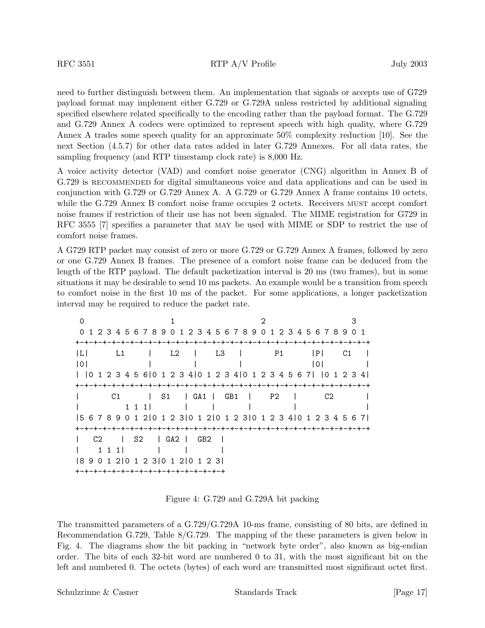need to further distinguish between them. An implementation that signals or accepts use of G729 payload format may implement either G.729 or G.729A unless restricted by additional signaling specified elsewhere related specifically to the encoding rather than the payload format. The G.729 and G.729 Annex A codecs were optimized to represent speech with high quality, where G.729 Annex A trades some speech quality for an approximate 50% complexity reduction [10]. See the next Section (4.5.7) for other data rates added in later G.729 Annexes. For all data rates, the sampling frequency (and RTP timestamp clock rate) is 8,000 Hz.

A voice activity detector (VAD) and comfort noise generator (CNG) algorithm in Annex B of G.729 is RECOMMENDED for digital simultaneous voice and data applications and can be used in conjunction with G.729 or G.729 Annex A. A G.729 or G.729 Annex A frame contains 10 octets, while the G.729 Annex B comfort noise frame occupies 2 octets. Receivers MUST accept comfort noise frames if restriction of their use has not been signaled. The MIME registration for G729 in RFC 3555 [7] specifies a parameter that may be used with MIME or SDP to restrict the use of comfort noise frames.

A G729 RTP packet may consist of zero or more G.729 or G.729 Annex A frames, followed by zero or one G.729 Annex B frames. The presence of a comfort noise frame can be deduced from the length of the RTP payload. The default packetization interval is 20 ms (two frames), but in some situations it may be desirable to send 10 ms packets. An example would be a transition from speech to comfort noise in the first 10 ms of the packet. For some applications, a longer packetization interval may be required to reduce the packet rate.

| ∩                                                                         |                                                                       |    |          |
|---------------------------------------------------------------------------|-----------------------------------------------------------------------|----|----------|
| 0 1 2 3 4 5 6 7 8 9 0 1 2 3 4 5 6 7 8 9 0 1 2 3 4 5 6 7 8 9 0 1           |                                                                       |    |          |
|                                                                           |                                                                       |    |          |
| -ILI<br>$-L1$                                                             | $\begin{array}{cccc} \mid & \text{L2} & \mid & \text{L3} \end{array}$ | P1 | P <br>C1 |
| 0                                                                         |                                                                       |    | 101      |
| 0 1 2 3 4 5 6 0 1 2 3 4 0 1 2 3 4 0 1 2 3 4 5 6 7   0 1 2 3 4             |                                                                       |    |          |
|                                                                           |                                                                       |    |          |
| C1                                                                        | S1   GA1   GB1   P2                                                   |    | C2       |
| 1 1 1 1                                                                   |                                                                       |    |          |
| 5 6 7 8 9 0 1 2   0 1 2 3   0 1 2   0 1 2 3   0 1 2 3 4   0 1 2 3 4 5 6 7 |                                                                       |    |          |
|                                                                           |                                                                       |    |          |
| C <sub>2</sub>                                                            | S2   GA2   GB2                                                        |    |          |
| 1 1 1 1                                                                   |                                                                       |    |          |
| 18 9 0 1 2 10 1 2 3 10 1 2 10 1 2 3 1                                     |                                                                       |    |          |
| +-+-+-+-+-+-+-+-+-+-+-+-+-+-+-+-+-                                        |                                                                       |    |          |

Figure 4: G.729 and G.729A bit packing

The transmitted parameters of a G.729/G.729A 10-ms frame, consisting of 80 bits, are defined in Recommendation G.729, Table 8/G.729. The mapping of the these parameters is given below in Fig. 4. The diagrams show the bit packing in "network byte order", also known as big-endian order. The bits of each 32-bit word are numbered 0 to 31, with the most significant bit on the left and numbered 0. The octets (bytes) of each word are transmitted most significant octet first.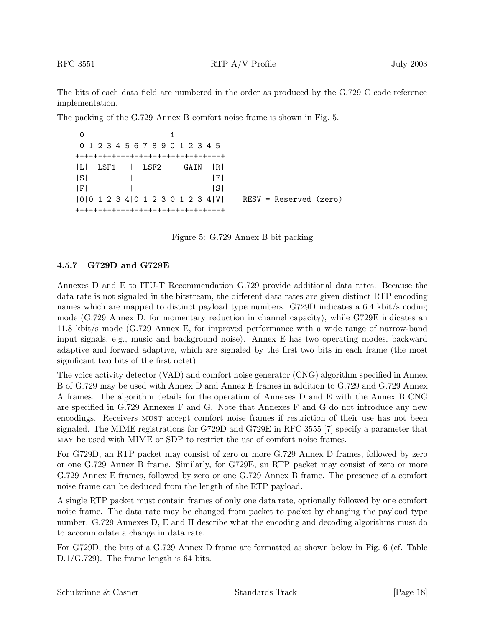The bits of each data field are numbered in the order as produced by the G.729 C code reference implementation.

The packing of the G.729 Annex B comfort noise frame is shown in Fig. 5.

|  | 0123456789012345                                                                                                                                                                                                                                                                                                                                                                    |         |                        |
|--|-------------------------------------------------------------------------------------------------------------------------------------------------------------------------------------------------------------------------------------------------------------------------------------------------------------------------------------------------------------------------------------|---------|------------------------|
|  | +-+-+-+-+-+-+-+-+-+-+-+-+-+-+-+-+-                                                                                                                                                                                                                                                                                                                                                  |         |                        |
|  | $ L $ LSF1   LSF2   GAIN $ R $                                                                                                                                                                                                                                                                                                                                                      |         |                        |
|  | $ \mathbf{S} $ $ \mathbf{S} $ $ \mathbf{S} $ $ \mathbf{S} $ $ \mathbf{S} $ $ \mathbf{S} $ $ \mathbf{S} $ $ \mathbf{S} $ $ \mathbf{S} $ $ \mathbf{S} $ $ \mathbf{S} $ $ \mathbf{S} $ $ \mathbf{S} $ $ \mathbf{S} $ $ \mathbf{S} $ $ \mathbf{S} $ $ \mathbf{S} $ $ \mathbf{S} $ $ \mathbf{S} $ $ \mathbf{S} $ $ \mathbf{S} $ $ \mathbf{S} $ $ \mathbf{S} $ $ \mathbf{S} $ $ \mathbf{$ |         |                        |
|  | $ F $ and $ F $ and $ F $ and $ F $ and $ F $ and $ F $ and $ F $ and $ F $ and $ F $ and $ F $ and $ F $ and $ F $ and $ F $ and $ F $ and $ F $ and $ F $ and $ F $ and $ F $ and $ F $ and $ F $ and $ F $ and $ F $ and                                                                                                                                                         | - I S I |                        |
|  | 0 0 1 2 3 4 0 1 2 3 0 1 2 3 4 0                                                                                                                                                                                                                                                                                                                                                     |         | RESV = Reserved (zero) |
|  | +-+-+-+-+-+-+-+-+-+-+-+-+-+-+-+-+-                                                                                                                                                                                                                                                                                                                                                  |         |                        |

Figure 5: G.729 Annex B bit packing

#### **4.5.7 G729D and G729E**

Annexes D and E to ITU-T Recommendation G.729 provide additional data rates. Because the data rate is not signaled in the bitstream, the different data rates are given distinct RTP encoding names which are mapped to distinct payload type numbers. G729D indicates a 6.4 kbit/s coding mode (G.729 Annex D, for momentary reduction in channel capacity), while G729E indicates an 11.8 kbit/s mode (G.729 Annex E, for improved performance with a wide range of narrow-band input signals, e.g., music and background noise). Annex E has two operating modes, backward adaptive and forward adaptive, which are signaled by the first two bits in each frame (the most significant two bits of the first octet).

The voice activity detector (VAD) and comfort noise generator (CNG) algorithm specified in Annex B of G.729 may be used with Annex D and Annex E frames in addition to G.729 and G.729 Annex A frames. The algorithm details for the operation of Annexes D and E with the Annex B CNG are specified in G.729 Annexes F and G. Note that Annexes F and G do not introduce any new encodings. Receivers must accept comfort noise frames if restriction of their use has not been signaled. The MIME registrations for G729D and G729E in RFC 3555 [7] specify a parameter that may be used with MIME or SDP to restrict the use of comfort noise frames.

For G729D, an RTP packet may consist of zero or more G.729 Annex D frames, followed by zero or one G.729 Annex B frame. Similarly, for G729E, an RTP packet may consist of zero or more G.729 Annex E frames, followed by zero or one G.729 Annex B frame. The presence of a comfort noise frame can be deduced from the length of the RTP payload.

A single RTP packet must contain frames of only one data rate, optionally followed by one comfort noise frame. The data rate may be changed from packet to packet by changing the payload type number. G.729 Annexes D, E and H describe what the encoding and decoding algorithms must do to accommodate a change in data rate.

For G729D, the bits of a G.729 Annex D frame are formatted as shown below in Fig. 6 (cf. Table D.1/G.729). The frame length is 64 bits.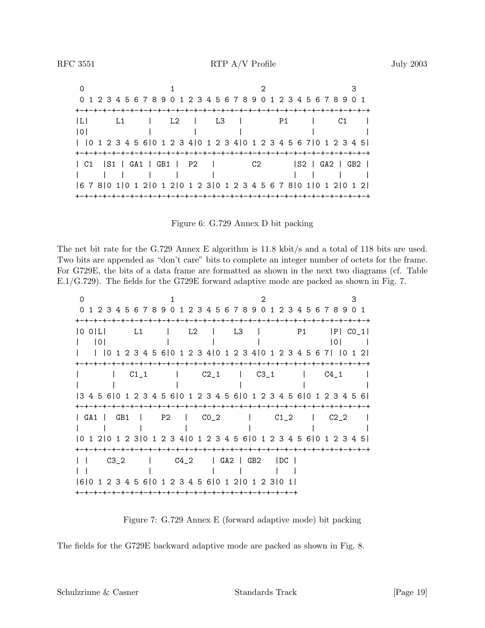| $\Omega$ |  |  |  |                                                                 |                                                                         |
|----------|--|--|--|-----------------------------------------------------------------|-------------------------------------------------------------------------|
|          |  |  |  | 0 1 2 3 4 5 6 7 8 9 0 1 2 3 4 5 6 7 8 9 0 1 2 3 4 5 6 7 8 9 0 1 |                                                                         |
|          |  |  |  |                                                                 |                                                                         |
|          |  |  |  |                                                                 | L  L1   L2   L3   P1   C1                                               |
|          |  |  |  |                                                                 |                                                                         |
|          |  |  |  |                                                                 | 0 1 2 3 4 5 6  0 1 2 3 4  0 1 2 3 4  0 1 2 3 4 5 6 7  0 1 2 3 4 5       |
|          |  |  |  |                                                                 |                                                                         |
|          |  |  |  |                                                                 | C1   S1   GA1   GB1   P2   C2   S2   GA2   GB2                          |
|          |  |  |  |                                                                 | 1 1 1 1 1 1 1 1 1 1 1 1                                                 |
|          |  |  |  |                                                                 | 6 7 8  0 1  0 1 2  0 1 2  0 1 2 3  0 1 2 3 4 5 6 7 8  0 1  0 1 2  0 1 2 |
|          |  |  |  |                                                                 |                                                                         |



The net bit rate for the G.729 Annex E algorithm is 11.8 kbit/s and a total of 118 bits are used. Two bits are appended as "don't care" bits to complete an integer number of octets for the frame. For G729E, the bits of a data frame are formatted as shown in the next two diagrams (cf. Table E.1/G.729). The fields for the G729E forward adaptive mode are packed as shown in Fig. 7.

| $\Omega$                                                        |   |  |  |  |  |                              |  |  |  | 2 |  |  |    |                                                               | 3 |  |
|-----------------------------------------------------------------|---|--|--|--|--|------------------------------|--|--|--|---|--|--|----|---------------------------------------------------------------|---|--|
| $\Omega$                                                        |   |  |  |  |  |                              |  |  |  |   |  |  |    | 1 2 3 4 5 6 7 8 9 0 1 2 3 4 5 6 7 8 9 0 1 2 3 4 5 6 7 8 9 0 1 |   |  |
|                                                                 |   |  |  |  |  |                              |  |  |  |   |  |  |    |                                                               |   |  |
| $ 0 \t0 $                                                       |   |  |  |  |  | L1   L2   L3                 |  |  |  |   |  |  | P1 | IPI CO 11                                                     |   |  |
|                                                                 | 0 |  |  |  |  |                              |  |  |  |   |  |  |    | 0                                                             |   |  |
| 0123456 01234 01234 01234567  012                               |   |  |  |  |  |                              |  |  |  |   |  |  |    |                                                               |   |  |
|                                                                 |   |  |  |  |  |                              |  |  |  |   |  |  |    |                                                               |   |  |
|                                                                 |   |  |  |  |  |                              |  |  |  |   |  |  |    | $C1_1$   $C2_1$   $C3_1$   $C4_1$                             |   |  |
|                                                                 |   |  |  |  |  |                              |  |  |  |   |  |  |    |                                                               |   |  |
| 3 4 5 6 0 1 2 3 4 5 6 0 1 2 3 4 5 6 0 1 2 3 4 5 6 0 1 2 3 4 5 6 |   |  |  |  |  |                              |  |  |  |   |  |  |    |                                                               |   |  |
| +-+-+-+-+-+-+-+                                                 |   |  |  |  |  |                              |  |  |  |   |  |  |    |                                                               |   |  |
| GA1   GB1   P2   CO_2   C1_2   C2_2                             |   |  |  |  |  |                              |  |  |  |   |  |  |    |                                                               |   |  |
|                                                                 |   |  |  |  |  |                              |  |  |  |   |  |  |    |                                                               |   |  |
| 0 1 2 0 1 2 3 0 1 2 3 4 0 1 2 3 4 5 6 0 1 2 3 4 5 6 0 1 2 3 4 5 |   |  |  |  |  |                              |  |  |  |   |  |  |    |                                                               |   |  |
| +-+-+-+-+-+-+-+-+-+-+-+-+-+-+                                   |   |  |  |  |  |                              |  |  |  |   |  |  |    |                                                               |   |  |
| $\mathbf{1}$                                                    |   |  |  |  |  | C3_2   C4_2   GA2   GB2   DC |  |  |  |   |  |  |    |                                                               |   |  |
|                                                                 |   |  |  |  |  |                              |  |  |  |   |  |  |    |                                                               |   |  |
| 6 0 1 2 3 4 5 6 0 1 2 3 4 5 6 0 1 2 0 1 2 3 0 1                 |   |  |  |  |  |                              |  |  |  |   |  |  |    |                                                               |   |  |
|                                                                 |   |  |  |  |  |                              |  |  |  |   |  |  |    |                                                               |   |  |

Figure 7: G.729 Annex E (forward adaptive mode) bit packing

The fields for the G729E backward adaptive mode are packed as shown in Fig. 8.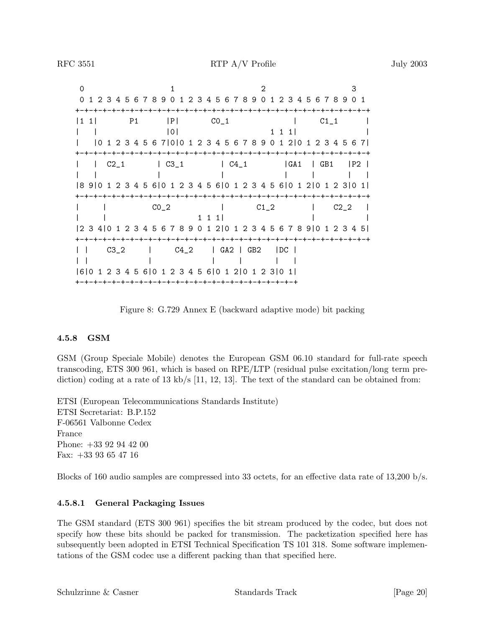0 1 2 3 01234567890123456789012345678901 +-+-+-+-+-+-+-+-+-+-+-+-+-+-+-+-+-+-+-+-+-+-+-+-+-+-+-+-+-+-+-+-+  $|1\ 1|$  P1  $|P|$  CO<sub>-</sub>1  $|$  C1<sub>-</sub>1  $|$ | | |0| 1 1 1| | | |0 1 2 3 4 5 6 7|0|0 1 2 3 4 5 6 7 8 9 0 1 2|0 1 2 3 4 5 6 7| +-+-+-+-+-+-+-+-+-+-+-+-+-+-+-+-+-+-+-+-+-+-+-+-+-+-+-+-+-+-+-+-+ | | C2\_1 | C3\_1 | C4\_1 |GA1 | GB1 |P2 | || | | | | || |8 9|0 1 2 3 4 5 6|0 1 2 3 4 5 6|0 1 2 3 4 5 6|0 1 2|0 1 2 3|0 1| +-+-+-+-+-+-+-+-+-+-+-+-+-+-+-+-+-+-+-+-+-+-+-+-+-+-+-+-+-+-+-+-+ | | C0\_2 | C1\_2 | C2\_2 | | | 1 1 1| | | |2 3 4|0 1 2 3 4 5 6 7 8 9 0 1 2|0 1 2 3 4 5 6 7 8 9|0 1 2 3 4 5| +-+-+-+-+-+-+-+-+-+-+-+-+-+-+-+-+-+-+-+-+-+-+-+-+-+-+-+-+-+-+-+-+ | | C3\_2 | C4\_2 | GA2 | GB2 |DC | || | | | | | |6|0 1 2 3 4 5 6|0 1 2 3 4 5 6|0 1 2|0 1 2 3|0 1| +-+-+-+-+-+-+-+-+-+-+-+-+-+-+-+-+-+-+-+-+-+-+-+-+

Figure 8: G.729 Annex E (backward adaptive mode) bit packing

#### **4.5.8 GSM**

GSM (Group Speciale Mobile) denotes the European GSM 06.10 standard for full-rate speech transcoding, ETS 300 961, which is based on RPE/LTP (residual pulse excitation/long term prediction) coding at a rate of 13 kb/s  $[11, 12, 13]$ . The text of the standard can be obtained from:

ETSI (European Telecommunications Standards Institute) ETSI Secretariat: B.P.152 F-06561 Valbonne Cedex France Phone: +33 92 94 42 00 Fax: +33 93 65 47 16

Blocks of 160 audio samples are compressed into 33 octets, for an effective data rate of 13,200 b/s.

#### **4.5.8.1 General Packaging Issues**

The GSM standard (ETS 300 961) specifies the bit stream produced by the codec, but does not specify how these bits should be packed for transmission. The packetization specified here has subsequently been adopted in ETSI Technical Specification TS 101 318. Some software implementations of the GSM codec use a different packing than that specified here.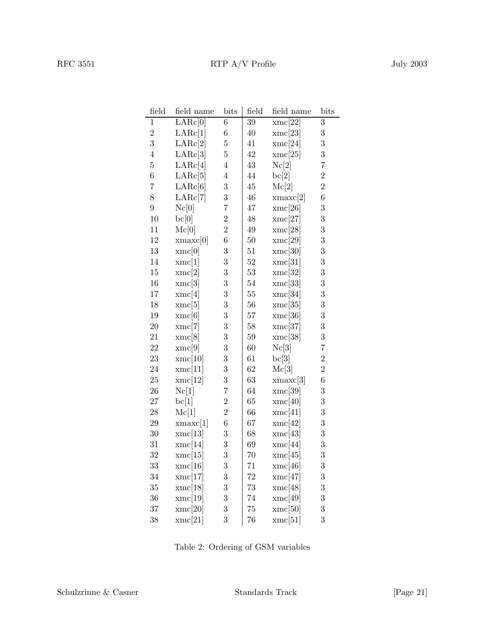| field            | field name | bits           | field  | field name | bits           |
|------------------|------------|----------------|--------|------------|----------------|
| $\mathbf{1}$     | LARc[0]    | $\,6$          | $39\,$ | xmc[22]    | $\overline{3}$ |
| $\overline{2}$   | LARc[1]    | $\!6\,$        | $40\,$ | xmc[23]    | $\overline{3}$ |
| 3                | LARc[2]    | $\bf 5$        | 41     | xmc[24]    | $\overline{3}$ |
| $\overline{4}$   | LARc[3]    | $\overline{5}$ | 42     | xmc[25]    | $\overline{3}$ |
| $\overline{5}$   | LARc[4]    | $\overline{4}$ | $43\,$ | Nc[2]      | $\overline{7}$ |
| $\boldsymbol{6}$ | LARc[5]    | $\overline{4}$ | 44     | bc[2]      | $\overline{2}$ |
| $\overline{7}$   | LARc[6]    | 3              | $45\,$ | Mc[2]      | $\overline{2}$ |
| 8                | LARc[7]    | 3              | $46\,$ | xmax[2]    | $\overline{6}$ |
| $\overline{9}$   | Nc[0]      | $\overline{7}$ | 47     | xmc[26]    | $\overline{3}$ |
| 10               | bc[0]      | $\overline{2}$ | $48\,$ | xmc[27]    | $\overline{3}$ |
| 11               | Mc[0]      | $\overline{2}$ | $49\,$ | xmc[28]    | $\overline{3}$ |
| $12\,$           | xmax[0]    | $\overline{6}$ | $50\,$ | xmc[29]    | $\overline{3}$ |
| $13\,$           | xmc[0]     | 3              | 51     | xmc[30]    | $\overline{3}$ |
| 14               | xmc[1]     | 3              | 52     | xmc[31]    | $\overline{3}$ |
| $15\,$           | xmc[2]     | 3              | $53\,$ | xmc[32]    | $\overline{3}$ |
| $16\,$           | xmc[3]     | 3              | 54     | xmc[33]    | $\overline{3}$ |
| 17               | xmc[4]     | 3              | $55\,$ | xmc[34]    | $\overline{3}$ |
| $18\,$           | xmc[5]     | 3              | 56     | xmc[35]    | $\overline{3}$ |
| $19\,$           | xmc[6]     | 3              | $57\,$ | xmc[36]    | $\overline{3}$ |
| $20\,$           | xmc[7]     | 3              | 58     | xmc[37]    | $\overline{3}$ |
| 21               | xmc[8]     | 3              | 59     | xmc[38]    | $\overline{3}$ |
| $\bf{22}$        | xmc[9]     | 3              | 60     | Nc[3]      | $\overline{7}$ |
| $23\,$           | xmc[10]    | 3              | 61     | bc[3]      | $\overline{2}$ |
| $\sqrt{24}$      | xmc[11]    | 3              | $62\,$ | Mc[3]      | $\overline{2}$ |
| 25               | xmc[12]    | 3              | 63     | xmax[3]    | $\overline{6}$ |
| ${\bf 26}$       | Nc[1]      | $\overline{7}$ | 64     | xmc[39]    | $\overline{3}$ |
| $\sqrt{27}$      | bc[1]      | $\overline{2}$ | 65     | xmc[40]    | $\overline{3}$ |
| $28\,$           | Mc[1]      | $\overline{2}$ | 66     | xmc[41]    | $\overline{3}$ |
| $\,29$           | xmax[1]    | $\overline{6}$ | 67     | xmc[42]    | $\overline{3}$ |
| $30\,$           | xmc[13]    | 3              | 68     | xmc[43]    | $\overline{3}$ |
| 31               | xmc[14]    | 3              | 69     | xmc[44]    | $\overline{3}$ |
| $32\,$           | xmc[15]    | 3              | 70     | xmc[45]    | $\overline{3}$ |
| 33               | xmc[16]    | 3              | 71     | xmc[46]    | 3              |
| 34               | xmc[17]    | 3              | 72     | xmc[47]    | 3              |
| $35\,$           | xmc[18]    | 3              | 73     | xmc[48]    | 3              |
| 36               | xmc[19]    | 3              | 74     | xmc[49]    | 3              |
| 37               | xmc[20]    | 3              | 75     | xmc[50]    | 3              |
| $38\,$           | xmc[21]    | 3              | 76     | xmc[51]    | 3              |

Table 2: Ordering of GSM variables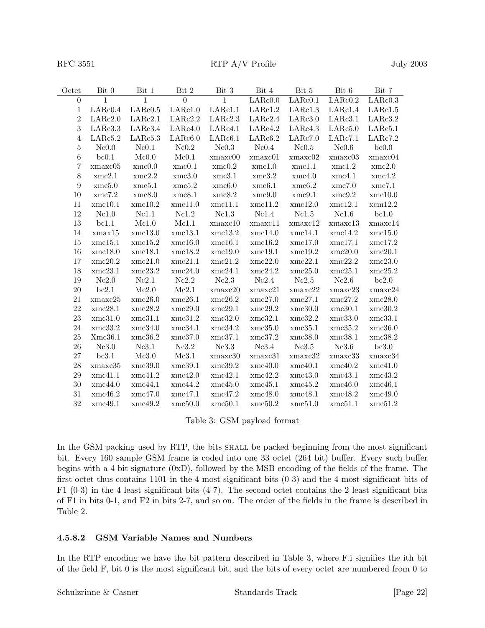| Octet            | Bit 0         | Bit 1   | Bit $2\,$      | Bit 3         | Bit 4         | Bit 5   | Bit 6   | Bit 7   |
|------------------|---------------|---------|----------------|---------------|---------------|---------|---------|---------|
| $\boldsymbol{0}$ | $\mathbf{1}$  | 1       | $\overline{0}$ | 1             | LARc0.0       | LARc0.1 | LARc0.2 | LARc0.3 |
| $\mathbf{1}$     | LARc0.4       | LARc0.5 | LARc1.0        | LARc1.1       | LARc1.2       | LARc1.3 | LARc1.4 | LARc1.5 |
| $\,2$            | LARc2.0       | LARc2.1 | LARc2.2        | LARc2.3       | LARc2.4       | LARc3.0 | LARc3.1 | LARc3.2 |
| 3                | LARc3.3       | LARc3.4 | LARc4.0        | LARc4.1       | LARc4.2       | LARc4.3 | LARc5.0 | LARc5.1 |
| $\overline{4}$   | LARc5.2       | LARc5.3 | LARc6.0        | LARc6.1       | LARc6.2       | LARc7.0 | LARc7.1 | LARc7.2 |
| $\bf 5$          | Nc0.0         | Nc0.1   | Nc0.2          | Nc0.3         | Nc0.4         | Nc0.5   | Nc0.6   | bc0.0   |
| $\,6$            | bc0.1         | Mc0.0   | Mc0.1          | xmaxc00       | xmaxc01       | xmaxc02 | xmaxc03 | xmaxc04 |
| 7                | xmaxc05       | xmc0.0  | xmc0.1         | xmc0.2        | xmc1.0        | xmc1.1  | xmc1.2  | xmc2.0  |
| $8\,$            | xmc2.1        | xmc2.2  | xmc3.0         | xmc3.1        | xmc3.2        | xmc4.0  | xmc4.1  | xmc4.2  |
| $\boldsymbol{9}$ | xmc5.0        | xmc5.1  | xmc5.2         | xmc6.0        | xmc6.1        | xmc6.2  | xmc7.0  | xmc7.1  |
| $10\,$           | xmc7.2        | xmc8.0  | xmc8.1         | xmc8.2        | xmc9.0        | xmc9.1  | xmc9.2  | xmc10.0 |
| 11               | xmc10.1       | xmc10.2 | xmc11.0        | xmc11.1       | xmc11.2       | xmc12.0 | xmc12.1 | xcm12.2 |
| $12\,$           | Nc1.0         | Nc1.1   | Nc1.2          | Nc1.3         | Nc1.4         | Nc1.5   | Nc1.6   | bc1.0   |
| 13               | bc1.1         | Mc1.0   | Mc1.1          | $x$ maxc $10$ | $x$ maxc $11$ | xmaxc12 | xmaxc13 | xmaxc14 |
| 14               | xmax15        | xmc13.0 | xmc13.1        | xmc13.2       | xmc14.0       | xmc14.1 | xmc14.2 | xmc15.0 |
| 15               | xmc15.1       | xmc15.2 | xmc16.0        | xmc16.1       | xmc16.2       | xmc17.0 | xmc17.1 | xmc17.2 |
| 16               | xmc18.0       | xmc18.1 | xmc18.2        | xmc19.0       | xmc19.1       | xmc19.2 | xmc20.0 | xmc20.1 |
| $17\,$           | xmc20.2       | xmc21.0 | xmc21.1        | xmc21.2       | xmc22.0       | xmc22.1 | xmc22.2 | xmc23.0 |
| 18               | xmc23.1       | xmc23.2 | xmc24.0        | xmc24.1       | xmc24.2       | xmc25.0 | xmc25.1 | xmc25.2 |
| 19               | Nc2.0         | Nc2.1   | Nc2.2          | Nc2.3         | Nc2.4         | Nc2.5   | Nc2.6   | bc2.0   |
| $20\,$           | bc2.1         | Mc2.0   | Mc2.1          | xmaxc20       | xmaxc21       | xmaxc22 | xmaxc23 | xmaxc24 |
| 21               | xmaxc25       | xmc26.0 | xmc26.1        | xmc26.2       | xmc27.0       | xmc27.1 | xmc27.2 | xmc28.0 |
| $22\,$           | xmc28.1       | xmc28.2 | xmc29.0        | xmc29.1       | xmc29.2       | xmc30.0 | xmc30.1 | xmc30.2 |
| 23               | xmc31.0       | xmc31.1 | xmc31.2        | xmc32.0       | xmc32.1       | xmc32.2 | xmc33.0 | xmc33.1 |
| 24               | xmc33.2       | xmc34.0 | xmc34.1        | xmc34.2       | xmc35.0       | xmc35.1 | xmc35.2 | xmc36.0 |
| $25\,$           | Xmc36.1       | xmc36.2 | xmc37.0        | xmc37.1       | xmc37.2       | xmc38.0 | xmc38.1 | xmc38.2 |
| 26               | Nc3.0         | Nc3.1   | Nc3.2          | Nc3.3         | Nc3.4         | Nc3.5   | Nc3.6   | bc3.0   |
| $27\,$           | bc3.1         | Mc3.0   | Mc3.1          | xmaxc30       | xmaxc31       | xmaxc32 | xmaxc33 | xmaxc34 |
| $28\,$           | $x$ max $c35$ | xmc39.0 | xmc39.1        | xmc39.2       | xmc40.0       | xmc40.1 | xmc40.2 | xmc41.0 |
| $\,29$           | xmc41.1       | xmc41.2 | xmc42.0        | xmc42.1       | xmc42.2       | xmc43.0 | xmc43.1 | xmc43.2 |
| $30\,$           | xmc44.0       | xmc44.1 | xmc44.2        | xmc45.0       | xmc45.1       | xmc45.2 | xmc46.0 | xmc46.1 |
| 31               | xmc46.2       | xmc47.0 | xmc47.1        | xmc47.2       | xmc48.0       | xmc48.1 | xmc48.2 | xmc49.0 |
| 32               | xmc49.1       | xmc49.2 | xmc50.0        | xmc50.1       | xmc50.2       | xmc51.0 | xmc51.1 | xmc51.2 |
|                  |               |         |                |               |               |         |         |         |

Table 3: GSM payload format

In the GSM packing used by RTP, the bits shall be packed beginning from the most significant bit. Every 160 sample GSM frame is coded into one 33 octet (264 bit) buffer. Every such buffer begins with a 4 bit signature (0xD), followed by the MSB encoding of the fields of the frame. The first octet thus contains 1101 in the 4 most significant bits (0-3) and the 4 most significant bits of F1 (0-3) in the 4 least significant bits (4-7). The second octet contains the 2 least significant bits of F1 in bits 0-1, and F2 in bits 2-7, and so on. The order of the fields in the frame is described in Table 2.

#### **4.5.8.2 GSM Variable Names and Numbers**

In the RTP encoding we have the bit pattern described in Table 3, where F.i signifies the ith bit of the field F, bit 0 is the most significant bit, and the bits of every octet are numbered from 0 to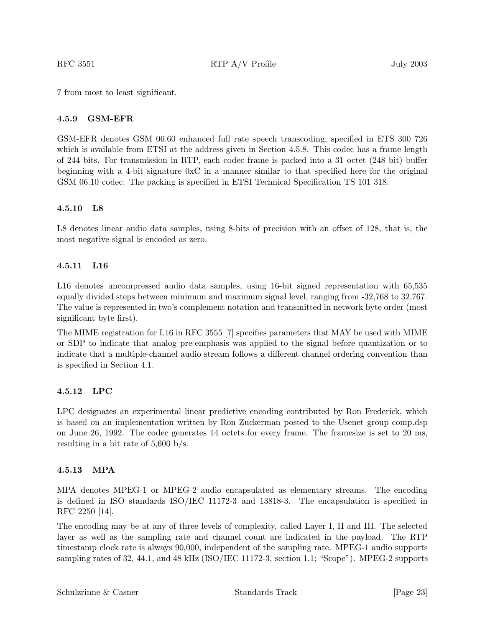7 from most to least significant.

#### **4.5.9 GSM-EFR**

GSM-EFR denotes GSM 06.60 enhanced full rate speech transcoding, specified in ETS 300 726 which is available from ETSI at the address given in Section 4.5.8. This codec has a frame length of 244 bits. For transmission in RTP, each codec frame is packed into a 31 octet (248 bit) buffer beginning with a 4-bit signature 0xC in a manner similar to that specified here for the original GSM 06.10 codec. The packing is specified in ETSI Technical Specification TS 101 318.

#### **4.5.10 L8**

L8 denotes linear audio data samples, using 8-bits of precision with an offset of 128, that is, the most negative signal is encoded as zero.

#### **4.5.11 L16**

L16 denotes uncompressed audio data samples, using 16-bit signed representation with 65,535 equally divided steps between minimum and maximum signal level, ranging from -32,768 to 32,767. The value is represented in two's complement notation and transmitted in network byte order (most significant byte first).

The MIME registration for L16 in RFC 3555 [7] specifies parameters that MAY be used with MIME or SDP to indicate that analog pre-emphasis was applied to the signal before quantization or to indicate that a multiple-channel audio stream follows a different channel ordering convention than is specified in Section 4.1.

#### **4.5.12 LPC**

LPC designates an experimental linear predictive encoding contributed by Ron Frederick, which is based on an implementation written by Ron Zuckerman posted to the Usenet group comp.dsp on June 26, 1992. The codec generates 14 octets for every frame. The framesize is set to 20 ms, resulting in a bit rate of 5,600 b/s.

#### **4.5.13 MPA**

MPA denotes MPEG-1 or MPEG-2 audio encapsulated as elementary streams. The encoding is defined in ISO standards ISO/IEC 11172-3 and 13818-3. The encapsulation is specified in RFC 2250 [14].

The encoding may be at any of three levels of complexity, called Layer I, II and III. The selected layer as well as the sampling rate and channel count are indicated in the payload. The RTP timestamp clock rate is always 90,000, independent of the sampling rate. MPEG-1 audio supports sampling rates of 32, 44.1, and 48 kHz (ISO/IEC 11172-3, section 1.1; "Scope"). MPEG-2 supports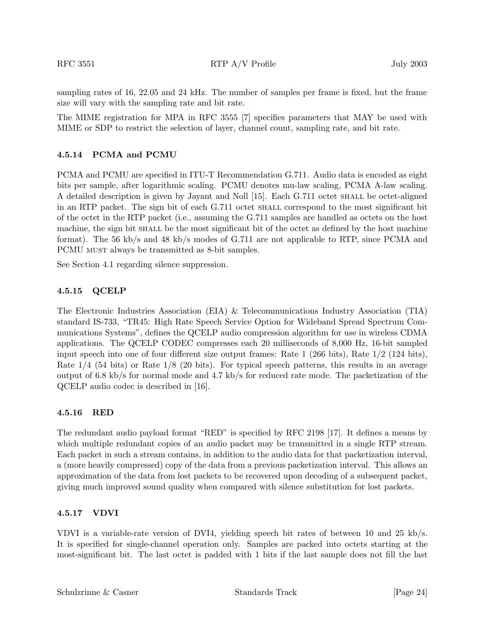sampling rates of 16, 22.05 and 24 kHz. The number of samples per frame is fixed, but the frame size will vary with the sampling rate and bit rate.

The MIME registration for MPA in RFC 3555 [7] specifies parameters that MAY be used with MIME or SDP to restrict the selection of layer, channel count, sampling rate, and bit rate.

#### **4.5.14 PCMA and PCMU**

PCMA and PCMU are specified in ITU-T Recommendation G.711. Audio data is encoded as eight bits per sample, after logarithmic scaling. PCMU denotes mu-law scaling, PCMA A-law scaling. A detailed description is given by Jayant and Noll [15]. Each G.711 octet shall be octet-aligned in an RTP packet. The sign bit of each G.711 octet shall correspond to the most significant bit of the octet in the RTP packet (i.e., assuming the G.711 samples are handled as octets on the host machine, the sign bit shall be the most significant bit of the octet as defined by the host machine format). The 56 kb/s and 48 kb/s modes of G.711 are not applicable to RTP, since PCMA and PCMU must always be transmitted as 8-bit samples.

See Section 4.1 regarding silence suppression.

#### **4.5.15 QCELP**

The Electronic Industries Association (EIA) & Telecommunications Industry Association (TIA) standard IS-733, "TR45: High Rate Speech Service Option for Wideband Spread Spectrum Communications Systems", defines the QCELP audio compression algorithm for use in wireless CDMA applications. The QCELP CODEC compresses each 20 milliseconds of 8,000 Hz, 16-bit sampled input speech into one of four different size output frames: Rate 1 (266 bits), Rate 1/2 (124 bits), Rate 1/4 (54 bits) or Rate 1/8 (20 bits). For typical speech patterns, this results in an average output of 6.8 kb/s for normal mode and 4.7 kb/s for reduced rate mode. The packetization of the QCELP audio codec is described in [16].

#### **4.5.16 RED**

The redundant audio payload format "RED" is specified by RFC 2198 [17]. It defines a means by which multiple redundant copies of an audio packet may be transmitted in a single RTP stream. Each packet in such a stream contains, in addition to the audio data for that packetization interval, a (more heavily compressed) copy of the data from a previous packetization interval. This allows an approximation of the data from lost packets to be recovered upon decoding of a subsequent packet, giving much improved sound quality when compared with silence substitution for lost packets.

#### **4.5.17 VDVI**

VDVI is a variable-rate version of DVI4, yielding speech bit rates of between 10 and 25 kb/s. It is specified for single-channel operation only. Samples are packed into octets starting at the most-significant bit. The last octet is padded with 1 bits if the last sample does not fill the last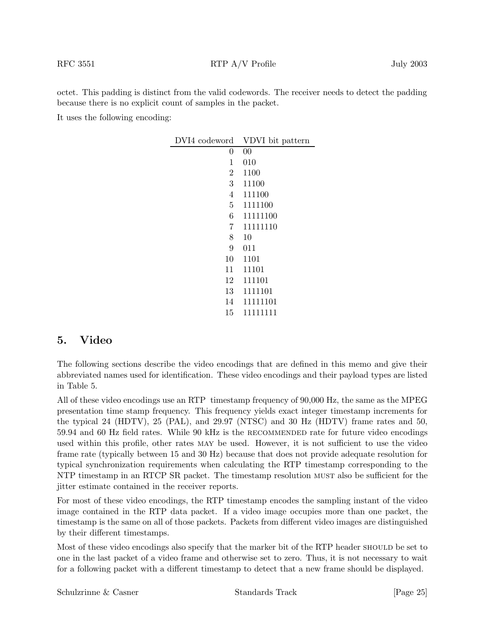octet. This padding is distinct from the valid codewords. The receiver needs to detect the padding because there is no explicit count of samples in the packet.

It uses the following encoding:

| DVI4 codeword  | VDVI bit pattern |
|----------------|------------------|
| 0              | 00               |
| 1              | 010              |
| $\overline{2}$ | 1100             |
| 3 <sup>1</sup> | 11100            |
| 4              | 111100           |
| 5              | 1111100          |
| 6              | 11111100         |
| 7              | 11111110         |
| 8              | 10               |
| 9              | 011              |
| 10             | 1101             |
| 11             | 11101            |
| 12             | 111101           |
| 13             | 1111101          |
| 14             | 11111101         |
| 15             | 11111111         |

# **5. Video**

The following sections describe the video encodings that are defined in this memo and give their abbreviated names used for identification. These video encodings and their payload types are listed in Table 5.

All of these video encodings use an RTP timestamp frequency of 90,000 Hz, the same as the MPEG presentation time stamp frequency. This frequency yields exact integer timestamp increments for the typical 24 (HDTV), 25 (PAL), and 29.97 (NTSC) and 30 Hz (HDTV) frame rates and 50, 59.94 and 60 Hz field rates. While 90 kHz is the RECOMMENDED rate for future video encodings used within this profile, other rates may be used. However, it is not sufficient to use the video frame rate (typically between 15 and 30 Hz) because that does not provide adequate resolution for typical synchronization requirements when calculating the RTP timestamp corresponding to the NTP timestamp in an RTCP SR packet. The timestamp resolution must also be sufficient for the jitter estimate contained in the receiver reports.

For most of these video encodings, the RTP timestamp encodes the sampling instant of the video image contained in the RTP data packet. If a video image occupies more than one packet, the timestamp is the same on all of those packets. Packets from different video images are distinguished by their different timestamps.

Most of these video encodings also specify that the marker bit of the RTP header should be set to one in the last packet of a video frame and otherwise set to zero. Thus, it is not necessary to wait for a following packet with a different timestamp to detect that a new frame should be displayed.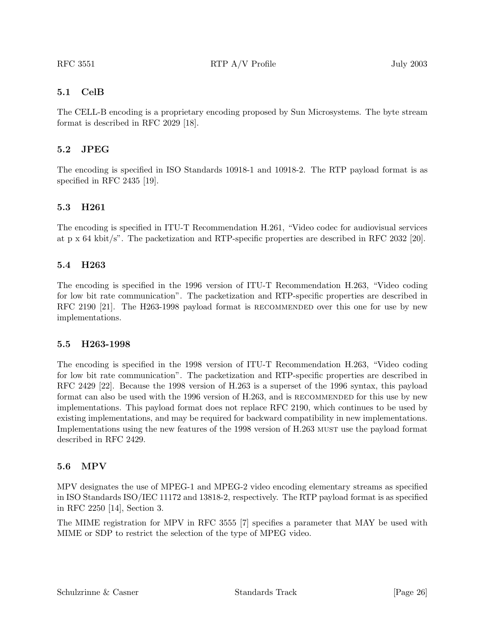## **5.1 CelB**

The CELL-B encoding is a proprietary encoding proposed by Sun Microsystems. The byte stream format is described in RFC 2029 [18].

## **5.2 JPEG**

The encoding is specified in ISO Standards 10918-1 and 10918-2. The RTP payload format is as specified in RFC 2435 [19].

## **5.3 H261**

The encoding is specified in ITU-T Recommendation H.261, "Video codec for audiovisual services at p x 64 kbit/s". The packetization and RTP-specific properties are described in RFC 2032 [20].

#### **5.4 H263**

The encoding is specified in the 1996 version of ITU-T Recommendation H.263, "Video coding for low bit rate communication". The packetization and RTP-specific properties are described in RFC 2190 [21]. The H263-1998 payload format is RECOMMENDED over this one for use by new implementations.

#### **5.5 H263-1998**

The encoding is specified in the 1998 version of ITU-T Recommendation H.263, "Video coding for low bit rate communication". The packetization and RTP-specific properties are described in RFC 2429 [22]. Because the 1998 version of H.263 is a superset of the 1996 syntax, this payload format can also be used with the 1996 version of H.263, and is RECOMMENDED for this use by new implementations. This payload format does not replace RFC 2190, which continues to be used by existing implementations, and may be required for backward compatibility in new implementations. Implementations using the new features of the 1998 version of H.263 must use the payload format described in RFC 2429.

## **5.6 MPV**

MPV designates the use of MPEG-1 and MPEG-2 video encoding elementary streams as specified in ISO Standards ISO/IEC 11172 and 13818-2, respectively. The RTP payload format is as specified in RFC 2250 [14], Section 3.

The MIME registration for MPV in RFC 3555 [7] specifies a parameter that MAY be used with MIME or SDP to restrict the selection of the type of MPEG video.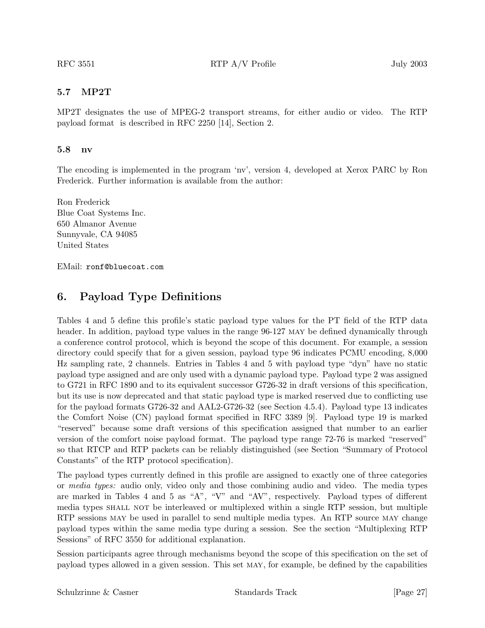## **5.7 MP2T**

MP2T designates the use of MPEG-2 transport streams, for either audio or video. The RTP payload format is described in RFC 2250 [14], Section 2.

#### **5.8 nv**

The encoding is implemented in the program 'nv', version 4, developed at Xerox PARC by Ron Frederick. Further information is available from the author:

Ron Frederick Blue Coat Systems Inc. 650 Almanor Avenue Sunnyvale, CA 94085 United States

EMail: ronf@bluecoat.com

# **6. Payload Type Definitions**

Tables 4 and 5 define this profile's static payload type values for the PT field of the RTP data header. In addition, payload type values in the range  $96-127$  MAY be defined dynamically through a conference control protocol, which is beyond the scope of this document. For example, a session directory could specify that for a given session, payload type 96 indicates PCMU encoding, 8,000 Hz sampling rate, 2 channels. Entries in Tables 4 and 5 with payload type "dyn" have no static payload type assigned and are only used with a dynamic payload type. Payload type 2 was assigned to G721 in RFC 1890 and to its equivalent successor G726-32 in draft versions of this specification, but its use is now deprecated and that static payload type is marked reserved due to conflicting use for the payload formats G726-32 and AAL2-G726-32 (see Section 4.5.4). Payload type 13 indicates the Comfort Noise (CN) payload format specified in RFC 3389 [9]. Payload type 19 is marked "reserved" because some draft versions of this specification assigned that number to an earlier version of the comfort noise payload format. The payload type range 72-76 is marked "reserved" so that RTCP and RTP packets can be reliably distinguished (see Section "Summary of Protocol Constants" of the RTP protocol specification).

The payload types currently defined in this profile are assigned to exactly one of three categories or *media types:* audio only, video only and those combining audio and video. The media types are marked in Tables 4 and 5 as "A", "V" and "AV", respectively. Payload types of different media types shall not be interleaved or multiplexed within a single RTP session, but multiple RTP sessions may be used in parallel to send multiple media types. An RTP source may change payload types within the same media type during a session. See the section "Multiplexing RTP Sessions" of RFC 3550 for additional explanation.

Session participants agree through mechanisms beyond the scope of this specification on the set of payload types allowed in a given session. This set may, for example, be defined by the capabilities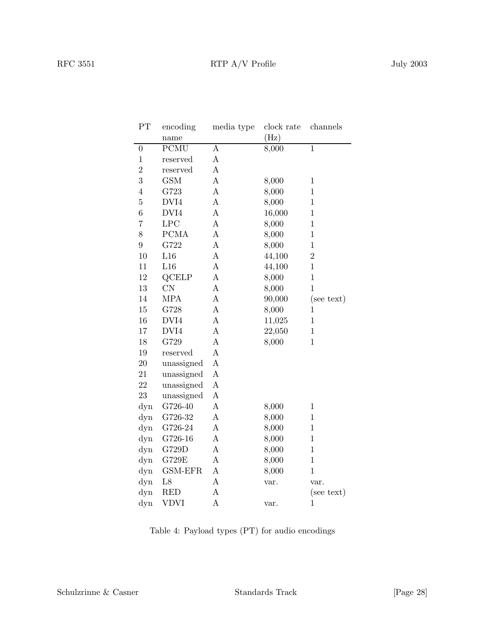| PT               | encoding       | media type       | clock rate | channels       |
|------------------|----------------|------------------|------------|----------------|
|                  | name           |                  | (Hz)       |                |
| $\boldsymbol{0}$ | <b>PCMU</b>    | $\boldsymbol{A}$ | 8,000      | $\overline{1}$ |
| $\mathbf 1$      | reserved       | A                |            |                |
| $\overline{2}$   | reserved       | $\mathbf{A}$     |            |                |
| 3                | <b>GSM</b>     | $\boldsymbol{A}$ | 8,000      | $\mathbf{1}$   |
| $\overline{4}$   | G723           | $\boldsymbol{A}$ | 8,000      | $\mathbf{1}$   |
| $\overline{5}$   | $\rm DVI4$     | $\bf{A}$         | 8,000      | $\mathbf{1}$   |
| 6                | DVI4           | $\bf{A}$         | 16,000     | $\mathbf{1}$   |
| $\overline{7}$   | LPC            | $\mathbf{A}$     | 8,000      | $\mathbf{1}$   |
| 8                | $\rm{PCMA}$    | $\bf{A}$         | 8,000      | $\mathbf{1}$   |
| 9                | G722           | $\mathbf{A}$     | 8,000      | $\mathbf{1}$   |
| 10               | L16            | A                | 44,100     | $\overline{2}$ |
| 11               | L16            | $\boldsymbol{A}$ | 44,100     | $\mathbf{1}$   |
| 12               | QCELP          | $\mathbf{A}$     | 8,000      | $\overline{1}$ |
| 13               | CN             | $\overline{A}$   | 8,000      | $\overline{1}$ |
| 14               | <b>MPA</b>     | $\mathbf{A}$     | 90,000     | (see text)     |
| 15               | G728           | $\bf{A}$         | 8,000      | $\mathbf{1}$   |
| 16               | DVI4           | $\boldsymbol{A}$ | 11,025     | $\mathbf{1}$   |
| 17               | DVI4           | $\boldsymbol{A}$ | 22,050     | $\mathbf{1}$   |
| 18               | G729           | $\bf{A}$         | 8,000      | $\mathbf{1}$   |
| 19               | reserved       | $\bf{A}$         |            |                |
| 20               | unassigned     | $\mathbf{A}$     |            |                |
| 21               | unassigned     | $\boldsymbol{A}$ |            |                |
| 22               | unassigned     | $\boldsymbol{A}$ |            |                |
| 23               | unassigned     | $\boldsymbol{A}$ |            |                |
| dyn              | G726-40        | $\boldsymbol{A}$ | 8,000      | $\mathbf{1}$   |
| dyn              | G726-32        | $\boldsymbol{A}$ | 8,000      | $\mathbf{1}$   |
| dyn              | G726-24        | $\boldsymbol{A}$ | 8,000      | $\mathbf{1}$   |
| dyn              | G726-16        | $\boldsymbol{A}$ | 8,000      | $\mathbf{1}$   |
| dyn              | G729D          | $\boldsymbol{A}$ | 8,000      | $\mathbf{1}$   |
| dyn              | G729E          | $\boldsymbol{A}$ | 8,000      | $\mathbf{1}$   |
| dyn              | <b>GSM-EFR</b> | $\boldsymbol{A}$ | 8,000      | $\mathbf{1}$   |
| dyn              | L8             | $\mathbf{A}$     | var.       | var.           |
| dyn              | <b>RED</b>     | $\boldsymbol{A}$ |            | (see text)     |
| dyn              | VDVI           | $\boldsymbol{A}$ | var.       | $\mathbf{1}$   |

Table 4: Payload types (PT) for audio encodings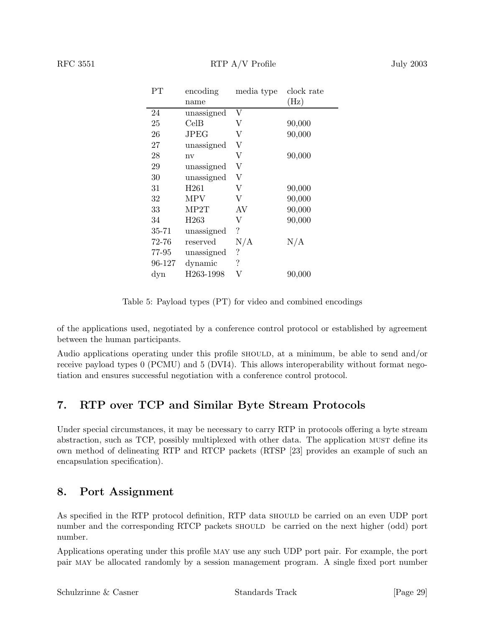| $\rm PT$ | encoding         | media type         | clock rate |
|----------|------------------|--------------------|------------|
|          | name             |                    | (Hz)       |
| 24       | unassigned       | V                  |            |
| 25       | CellB            | V                  | 90,000     |
| 26       | JPEG             | V                  | 90,000     |
| 27       | unassigned       | V                  |            |
| 28       | nv               | V                  | 90,000     |
| 29       | unassigned       | V                  |            |
| 30       | unassigned       | $\rm V$            |            |
| 31       | H <sub>261</sub> | $\rm V$            | 90,000     |
| 32       | MPV              | V                  | 90,000     |
| 33       | MP2T             | AV                 | 90,000     |
| 34       | H <sub>263</sub> | V                  | 90,000     |
| 35-71    | unassigned       | $\overline{\cdot}$ |            |
| 72-76    | reserved         | N/A                | N/A        |
| 77-95    | unassigned       | $\ddot{?}$         |            |
| 96-127   | dynamic          | $\ddot{?}$         |            |
| dyn      | H263-1998        | V                  | 90,000     |

Table 5: Payload types (PT) for video and combined encodings

of the applications used, negotiated by a conference control protocol or established by agreement between the human participants.

Audio applications operating under this profile SHOULD, at a minimum, be able to send and/or receive payload types 0 (PCMU) and 5 (DVI4). This allows interoperability without format negotiation and ensures successful negotiation with a conference control protocol.

# **7. RTP over TCP and Similar Byte Stream Protocols**

Under special circumstances, it may be necessary to carry RTP in protocols offering a byte stream abstraction, such as TCP, possibly multiplexed with other data. The application must define its own method of delineating RTP and RTCP packets (RTSP [23] provides an example of such an encapsulation specification).

# **8. Port Assignment**

As specified in the RTP protocol definition, RTP data should be carried on an even UDP port number and the corresponding RTCP packets should be carried on the next higher (odd) port number.

Applications operating under this profile may use any such UDP port pair. For example, the port pair may be allocated randomly by a session management program. A single fixed port number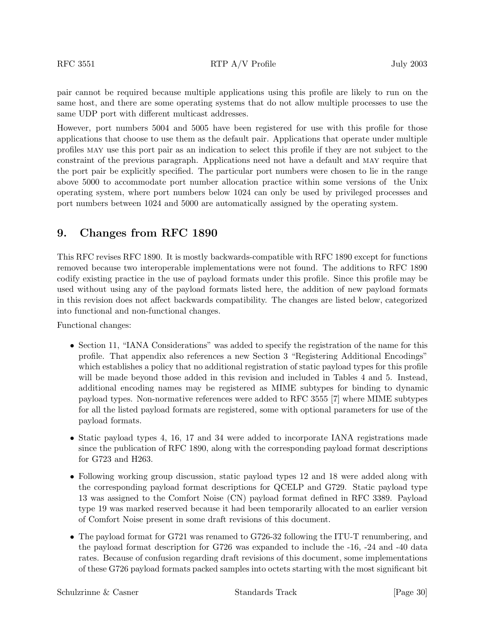pair cannot be required because multiple applications using this profile are likely to run on the same host, and there are some operating systems that do not allow multiple processes to use the same UDP port with different multicast addresses.

However, port numbers 5004 and 5005 have been registered for use with this profile for those applications that choose to use them as the default pair. Applications that operate under multiple profiles may use this port pair as an indication to select this profile if they are not subject to the constraint of the previous paragraph. Applications need not have a default and may require that the port pair be explicitly specified. The particular port numbers were chosen to lie in the range above 5000 to accommodate port number allocation practice within some versions of the Unix operating system, where port numbers below 1024 can only be used by privileged processes and port numbers between 1024 and 5000 are automatically assigned by the operating system.

# **9. Changes from RFC 1890**

This RFC revises RFC 1890. It is mostly backwards-compatible with RFC 1890 except for functions removed because two interoperable implementations were not found. The additions to RFC 1890 codify existing practice in the use of payload formats under this profile. Since this profile may be used without using any of the payload formats listed here, the addition of new payload formats in this revision does not affect backwards compatibility. The changes are listed below, categorized into functional and non-functional changes.

Functional changes:

- Section 11, "IANA Considerations" was added to specify the registration of the name for this profile. That appendix also references a new Section 3 "Registering Additional Encodings" which establishes a policy that no additional registration of static payload types for this profile will be made beyond those added in this revision and included in Tables 4 and 5. Instead, additional encoding names may be registered as MIME subtypes for binding to dynamic payload types. Non-normative references were added to RFC 3555 [7] where MIME subtypes for all the listed payload formats are registered, some with optional parameters for use of the payload formats.
- Static payload types 4, 16, 17 and 34 were added to incorporate IANA registrations made since the publication of RFC 1890, along with the corresponding payload format descriptions for G723 and H263.
- Following working group discussion, static payload types 12 and 18 were added along with the corresponding payload format descriptions for QCELP and G729. Static payload type 13 was assigned to the Comfort Noise (CN) payload format defined in RFC 3389. Payload type 19 was marked reserved because it had been temporarily allocated to an earlier version of Comfort Noise present in some draft revisions of this document.
- The payload format for G721 was renamed to G726-32 following the ITU-T renumbering, and the payload format description for G726 was expanded to include the -16, -24 and -40 data rates. Because of confusion regarding draft revisions of this document, some implementations of these G726 payload formats packed samples into octets starting with the most significant bit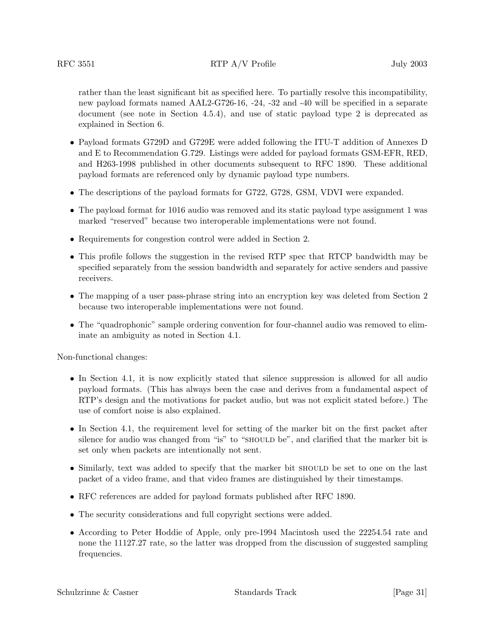rather than the least significant bit as specified here. To partially resolve this incompatibility, new payload formats named AAL2-G726-16, -24, -32 and -40 will be specified in a separate document (see note in Section 4.5.4), and use of static payload type 2 is deprecated as explained in Section 6.

- Payload formats G729D and G729E were added following the ITU-T addition of Annexes D and E to Recommendation G.729. Listings were added for payload formats GSM-EFR, RED, and H263-1998 published in other documents subsequent to RFC 1890. These additional payload formats are referenced only by dynamic payload type numbers.
- The descriptions of the payload formats for G722, G728, GSM, VDVI were expanded.
- The payload format for 1016 audio was removed and its static payload type assignment 1 was marked "reserved" because two interoperable implementations were not found.
- Requirements for congestion control were added in Section 2.
- This profile follows the suggestion in the revised RTP spec that RTCP bandwidth may be specified separately from the session bandwidth and separately for active senders and passive receivers.
- The mapping of a user pass-phrase string into an encryption key was deleted from Section 2 because two interoperable implementations were not found.
- The "quadrophonic" sample ordering convention for four-channel audio was removed to eliminate an ambiguity as noted in Section 4.1.

Non-functional changes:

- In Section 4.1, it is now explicitly stated that silence suppression is allowed for all audio payload formats. (This has always been the case and derives from a fundamental aspect of RTP's design and the motivations for packet audio, but was not explicit stated before.) The use of comfort noise is also explained.
- In Section 4.1, the requirement level for setting of the marker bit on the first packet after silence for audio was changed from "is" to "SHOULD be", and clarified that the marker bit is set only when packets are intentionally not sent.
- Similarly, text was added to specify that the marker bit should be set to one on the last packet of a video frame, and that video frames are distinguished by their timestamps.
- RFC references are added for payload formats published after RFC 1890.
- The security considerations and full copyright sections were added.
- According to Peter Hoddie of Apple, only pre-1994 Macintosh used the 22254.54 rate and none the 11127.27 rate, so the latter was dropped from the discussion of suggested sampling frequencies.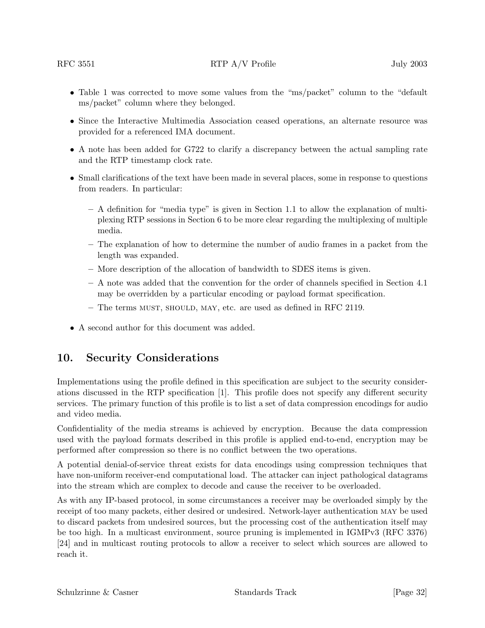- Table 1 was corrected to move some values from the "ms/packet" column to the "default ms/packet" column where they belonged.
- Since the Interactive Multimedia Association ceased operations, an alternate resource was provided for a referenced IMA document.
- A note has been added for G722 to clarify a discrepancy between the actual sampling rate and the RTP timestamp clock rate.
- Small clarifications of the text have been made in several places, some in response to questions from readers. In particular:
	- **–** A definition for "media type" is given in Section 1.1 to allow the explanation of multiplexing RTP sessions in Section 6 to be more clear regarding the multiplexing of multiple media.
	- **–** The explanation of how to determine the number of audio frames in a packet from the length was expanded.
	- **–** More description of the allocation of bandwidth to SDES items is given.
	- **–** A note was added that the convention for the order of channels specified in Section 4.1 may be overridden by a particular encoding or payload format specification.
	- **–** The terms must, should, may, etc. are used as defined in RFC 2119.
- A second author for this document was added.

# **10. Security Considerations**

Implementations using the profile defined in this specification are subject to the security considerations discussed in the RTP specification [1]. This profile does not specify any different security services. The primary function of this profile is to list a set of data compression encodings for audio and video media.

Confidentiality of the media streams is achieved by encryption. Because the data compression used with the payload formats described in this profile is applied end-to-end, encryption may be performed after compression so there is no conflict between the two operations.

A potential denial-of-service threat exists for data encodings using compression techniques that have non-uniform receiver-end computational load. The attacker can inject pathological datagrams into the stream which are complex to decode and cause the receiver to be overloaded.

As with any IP-based protocol, in some circumstances a receiver may be overloaded simply by the receipt of too many packets, either desired or undesired. Network-layer authentication may be used to discard packets from undesired sources, but the processing cost of the authentication itself may be too high. In a multicast environment, source pruning is implemented in IGMPv3 (RFC 3376) [24] and in multicast routing protocols to allow a receiver to select which sources are allowed to reach it.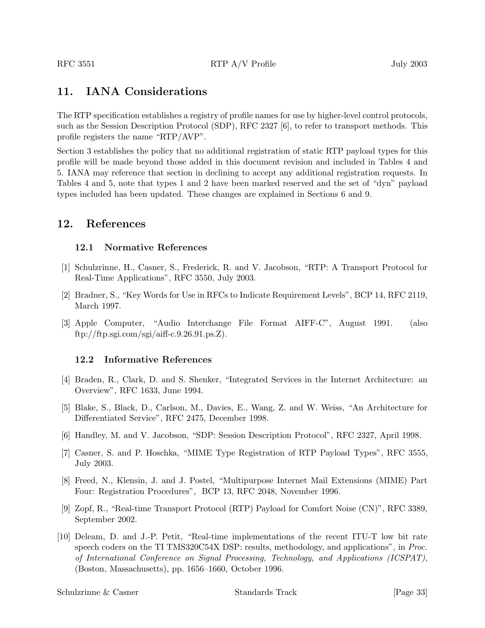# **11. IANA Considerations**

The RTP specification establishes a registry of profile names for use by higher-level control protocols, such as the Session Description Protocol (SDP), RFC 2327 [6], to refer to transport methods. This profile registers the name "RTP/AVP".

Section 3 establishes the policy that no additional registration of static RTP payload types for this profile will be made beyond those added in this document revision and included in Tables 4 and 5. IANA may reference that section in declining to accept any additional registration requests. In Tables 4 and 5, note that types 1 and 2 have been marked reserved and the set of "dyn" payload types included has been updated. These changes are explained in Sections 6 and 9.

# **12. References**

#### **12.1 Normative References**

- [1] Schulzrinne, H., Casner, S., Frederick, R. and V. Jacobson, "RTP: A Transport Protocol for Real-Time Applications", RFC 3550, July 2003.
- [2] Bradner, S., "Key Words for Use in RFCs to Indicate Requirement Levels", BCP 14, RFC 2119, March 1997.
- [3] Apple Computer, "Audio Interchange File Format AIFF-C", August 1991. (also ftp://ftp.sgi.com/sgi/aiff-c.9.26.91.ps.Z).

## **12.2 Informative References**

- [4] Braden, R., Clark, D. and S. Shenker, "Integrated Services in the Internet Architecture: an Overview", RFC 1633, June 1994.
- [5] Blake, S., Black, D., Carlson, M., Davies, E., Wang, Z. and W. Weiss, "An Architecture for Differentiated Service", RFC 2475, December 1998.
- [6] Handley, M. and V. Jacobson, "SDP: Session Description Protocol", RFC 2327, April 1998.
- [7] Casner, S. and P. Hoschka, "MIME Type Registration of RTP Payload Types", RFC 3555, July 2003.
- [8] Freed, N., Klensin, J. and J. Postel, "Multipurpose Internet Mail Extensions (MIME) Part Four: Registration Procedures", BCP 13, RFC 2048, November 1996.
- [9] Zopf, R., "Real-time Transport Protocol (RTP) Payload for Comfort Noise (CN)", RFC 3389, September 2002.
- [10] Deleam, D. and J.-P. Petit, "Real-time implementations of the recent ITU-T low bit rate speech coders on the TI TMS320C54X DSP: results, methodology, and applications", in *Proc. of International Conference on Signal Processing, Technology, and Applications (ICSPAT)*, (Boston, Massachusetts), pp. 1656–1660, October 1996.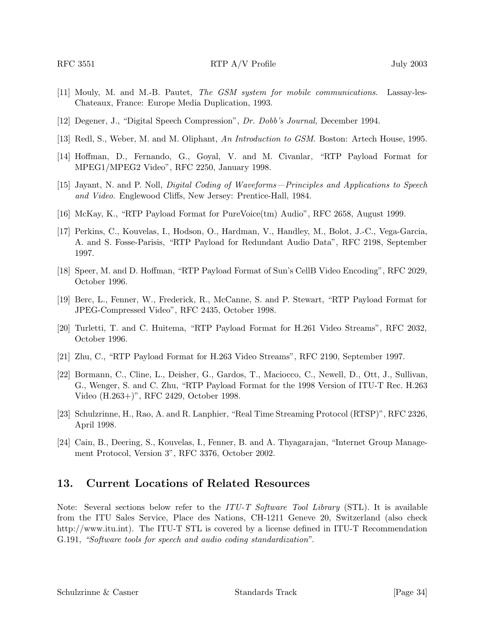- [11] Mouly, M. and M.-B. Pautet, *The GSM system for mobile communications*. Lassay-les-Chateaux, France: Europe Media Duplication, 1993.
- [12] Degener, J., "Digital Speech Compression", *Dr. Dobb's Journal,* December 1994.
- [13] Redl, S., Weber, M. and M. Oliphant, *An Introduction to GSM*. Boston: Artech House, 1995.
- [14] Hoffman, D., Fernando, G., Goyal, V. and M. Civanlar, "RTP Payload Format for MPEG1/MPEG2 Video", RFC 2250, January 1998.
- [15] Jayant, N. and P. Noll, *Digital Coding of Waveforms—Principles and Applications to Speech and Video*. Englewood Cliffs, New Jersey: Prentice-Hall, 1984.
- [16] McKay, K., "RTP Payload Format for PureVoice(tm) Audio", RFC 2658, August 1999.
- [17] Perkins, C., Kouvelas, I., Hodson, O., Hardman, V., Handley, M., Bolot, J.-C., Vega-Garcia, A. and S. Fosse-Parisis, "RTP Payload for Redundant Audio Data", RFC 2198, September 1997.
- [18] Speer, M. and D. Hoffman, "RTP Payload Format of Sun's CellB Video Encoding", RFC 2029, October 1996.
- [19] Berc, L., Fenner, W., Frederick, R., McCanne, S. and P. Stewart, "RTP Payload Format for JPEG-Compressed Video", RFC 2435, October 1998.
- [20] Turletti, T. and C. Huitema, "RTP Payload Format for H.261 Video Streams", RFC 2032, October 1996.
- [21] Zhu, C., "RTP Payload Format for H.263 Video Streams", RFC 2190, September 1997.
- [22] Bormann, C., Cline, L., Deisher, G., Gardos, T., Maciocco, C., Newell, D., Ott, J., Sullivan, G., Wenger, S. and C. Zhu, "RTP Payload Format for the 1998 Version of ITU-T Rec. H.263 Video (H.263+)", RFC 2429, October 1998.
- [23] Schulzrinne, H., Rao, A. and R. Lanphier, "Real Time Streaming Protocol (RTSP)", RFC 2326, April 1998.
- [24] Cain, B., Deering, S., Kouvelas, I., Fenner, B. and A. Thyagarajan, "Internet Group Management Protocol, Version 3", RFC 3376, October 2002.

## **13. Current Locations of Related Resources**

Note: Several sections below refer to the *ITU-T Software Tool Library* (STL). It is available from the ITU Sales Service, Place des Nations, CH-1211 Geneve 20, Switzerland (also check http://www.itu.int). The ITU-T STL is covered by a license defined in ITU-T Recommendation G.191, *"Software tools for speech and audio coding standardization".*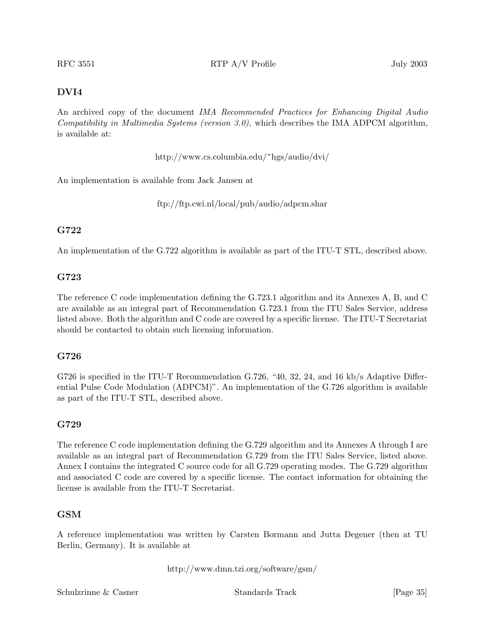# **DVI4**

An archived copy of the document *IMA Recommended Practices for Enhancing Digital Audio Compatibility in Multimedia Systems (version 3.0),* which describes the IMA ADPCM algorithm, is available at:

http://www.cs.columbia.edu/~hgs/audio/dvi/

An implementation is available from Jack Jansen at

ftp://ftp.cwi.nl/local/pub/audio/adpcm.shar

## **G722**

An implementation of the G.722 algorithm is available as part of the ITU-T STL, described above.

## **G723**

The reference C code implementation defining the G.723.1 algorithm and its Annexes A, B, and C are available as an integral part of Recommendation G.723.1 from the ITU Sales Service, address listed above. Both the algorithm and C code are covered by a specific license. The ITU-T Secretariat should be contacted to obtain such licensing information.

## **G726**

G726 is specified in the ITU-T Recommendation G.726, "40, 32, 24, and 16 kb/s Adaptive Differential Pulse Code Modulation (ADPCM)". An implementation of the G.726 algorithm is available as part of the ITU-T STL, described above.

## **G729**

The reference C code implementation defining the G.729 algorithm and its Annexes A through I are available as an integral part of Recommendation G.729 from the ITU Sales Service, listed above. Annex I contains the integrated C source code for all G.729 operating modes. The G.729 algorithm and associated C code are covered by a specific license. The contact information for obtaining the license is available from the ITU-T Secretariat.

## **GSM**

A reference implementation was written by Carsten Bormann and Jutta Degener (then at TU Berlin, Germany). It is available at

http://www.dmn.tzi.org/software/gsm/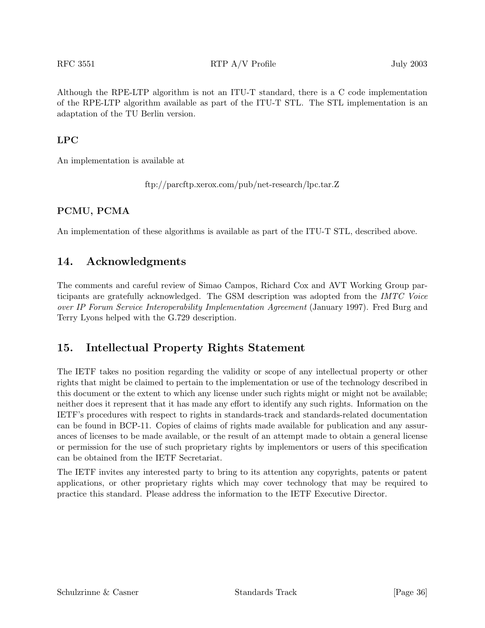Although the RPE-LTP algorithm is not an ITU-T standard, there is a C code implementation of the RPE-LTP algorithm available as part of the ITU-T STL. The STL implementation is an adaptation of the TU Berlin version.

# **LPC**

An implementation is available at

ftp://parcftp.xerox.com/pub/net-research/lpc.tar.Z

#### **PCMU, PCMA**

An implementation of these algorithms is available as part of the ITU-T STL, described above.

# **14. Acknowledgments**

The comments and careful review of Simao Campos, Richard Cox and AVT Working Group participants are gratefully acknowledged. The GSM description was adopted from the *IMTC Voice over IP Forum Service Interoperability Implementation Agreement* (January 1997). Fred Burg and Terry Lyons helped with the G.729 description.

# **15. Intellectual Property Rights Statement**

The IETF takes no position regarding the validity or scope of any intellectual property or other rights that might be claimed to pertain to the implementation or use of the technology described in this document or the extent to which any license under such rights might or might not be available; neither does it represent that it has made any effort to identify any such rights. Information on the IETF's procedures with respect to rights in standards-track and standards-related documentation can be found in BCP-11. Copies of claims of rights made available for publication and any assurances of licenses to be made available, or the result of an attempt made to obtain a general license or permission for the use of such proprietary rights by implementors or users of this specification can be obtained from the IETF Secretariat.

The IETF invites any interested party to bring to its attention any copyrights, patents or patent applications, or other proprietary rights which may cover technology that may be required to practice this standard. Please address the information to the IETF Executive Director.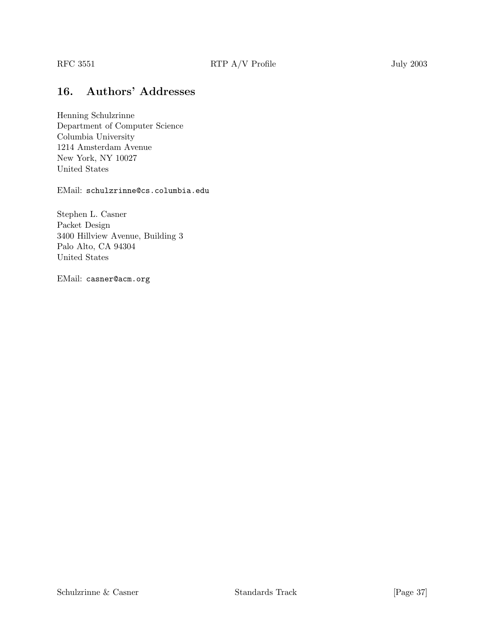# **16. Authors' Addresses**

Henning Schulzrinne Department of Computer Science Columbia University 1214 Amsterdam Avenue New York, NY 10027 United States

EMail: schulzrinne@cs.columbia.edu

Stephen L. Casner Packet Design 3400 Hillview Avenue, Building 3 Palo Alto, CA 94304 United States

EMail: casner@acm.org